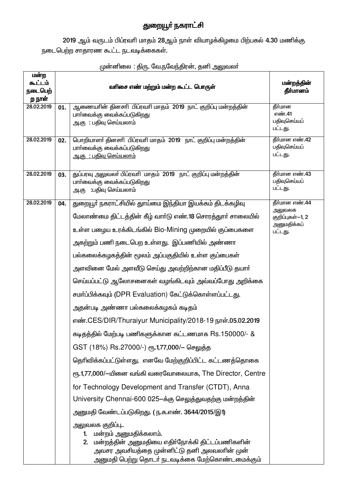## துறையூா் நகராட்சி

2019 ஆம் வருடம் பிப்ரவரி மாதம் 28ஆம் நாள் வியாழக்கிழமை பிற்பகல் 4.30 மணிக்கு .<br>நடைபெற்ற சாதாரண கூட்ட நடவடிக்கைகள்.

| மன்ற<br>கூட்டம்<br>நடைபெற்<br>ற நாள் |     | வரிசை எண் மற்றும் மன்ற கூட்ட பொருள்                                                                                                                                                                    | மன்றத்தின்<br>தீர்மானம்                      |
|--------------------------------------|-----|--------------------------------------------------------------------------------------------------------------------------------------------------------------------------------------------------------|----------------------------------------------|
| 28.02.2019                           | 01. | ஆணையரின் தினசரி பிப்ரவரி மாதம் 2019 நாட் குறிப்பு மன்றத்தின்<br>பார்வைக்கு வைக்கப்படுகிறது<br>அ.கு : பதிவு செய்யலாம்                                                                                   | தீர்மான<br>எண்.41<br>பதிவுசெய்யப்<br>பட்டது. |
| 28.02.2019                           | 02. | பொறியாளர் தினசரி பிப்ரவரி மாதம் 2019 நாட் குறிப்பு மன்றத்தின்<br>பாா்வைக்கு வைக்கப்படுகிறது<br><u> அ.கு  : பதிவு செய்யலாம்</u>                                                                         | தீர்மான எண்.42<br>பதிவுசெய்யப்<br>பட்டது.    |
| 28.02.2019                           | 03. | துப்பரவு அலுவலர் பிப்ரவரி மாதம் 2019 நாட் குறிப்பு மன்றத்தின்<br>பார்வைக்கு வைக்கப்படுகிறது<br>அ.கு :பதிவு செய்யலாம்                                                                                   | தீர்மான எண்.43<br>பதிவுசெய்யப்<br>பட்டது.    |
| 28.02.2019                           | 04. | துறையூா் நகராட்சியில் துாய்மை இந்தியா இயக்கம் திடக்கழிவு                                                                                                                                               | தீர்மான எண்.44<br>அலுவலக                     |
|                                      |     | மேலாண்மை திட்டத்தின் கீழ் வார்டு எண்.18 சொரத்துார் சாலையில்                                                                                                                                            | குறிப்புகள்-1, 2                             |
|                                      |     | உள்ள பழைய உரக்கிடங்கில் Bio-Mining முறையில் குப்பைகளை                                                                                                                                                  | அனுமதிக்கப்<br>பட்டது.                       |
|                                      |     | அகற்றும் பணி நடைபெற உள்ளது. இப்பணியில் அண்ணா                                                                                                                                                           |                                              |
|                                      |     | பல்கலைக்கழகத்தின் மூலம் அப்பகுதியில் உள்ள குப்பைகள்                                                                                                                                                    |                                              |
|                                      |     | அளவினை மேல் அளவீடு செய்து அவற்றிற்கான மதிப்பீடு தயாா்                                                                                                                                                  |                                              |
|                                      |     | செய்யப்பட்டு ஆலோசனைகள் வழங்கிடவும் அவ்வப்போது அறிக்கை                                                                                                                                                  |                                              |
|                                      |     | சமர்ப்பிக்கவும் (DPR Evaluation) கேட்டுக்கொள்ளப்பட்டது.                                                                                                                                                |                                              |
|                                      |     | அதன்படி அண்ணா பல்கலைக்கழகம் கடிதம்                                                                                                                                                                     |                                              |
|                                      |     | எண்.CES/DIR/Thuraiyur Municipality/2018-19 நாள்.05.02.2019                                                                                                                                             |                                              |
|                                      |     | கடிதத்தில் மேற்படி பணிகளுக்கான கட்டணமாக Rs.150000/- &                                                                                                                                                  |                                              |
|                                      |     | GST (18%) Rs.27000/-) ரூ.1,77,000/– செலுத்த                                                                                                                                                            |                                              |
|                                      |     | தெரிவிக்கப்பட்டுள்ளது. எனவே மேற்குறிப்பிட்ட கட்டணத்தொகை                                                                                                                                                |                                              |
|                                      |     | ரு. 1,77,000/–யினை வங்கி வரைவோலையாக, The Director, Centre                                                                                                                                              |                                              |
|                                      |     | for Technology Development and Transfer (CTDT), Anna                                                                                                                                                   |                                              |
|                                      |     | University Chennai-600 025–க்கு செலுத்துவதற்கு மன்றத்தின்                                                                                                                                              |                                              |
|                                      |     | அனுமதி வேண்டப்படுகிறது. ( ந.க.எண். 3644/2015/இ1)                                                                                                                                                       |                                              |
|                                      |     | அலுவலக குறிப்பு<br>மன்றம் அனுமதிக்கலாம்.<br>1.<br>2. மன்றத்தின் அனுமதியை எதிர்நோக்கி திட்டப்பணிகளின்<br>அவசர அவசியத்தை முன்னிட்டு தனி அலவலாின் முன்<br>அனுமதி பெற்று தொடா் நடவடிக்கை மேற்கொண்டமைக்கும் |                                              |

## முன்னிலை : திரு. வே.நவேந்திரன், தனி அலுவலா்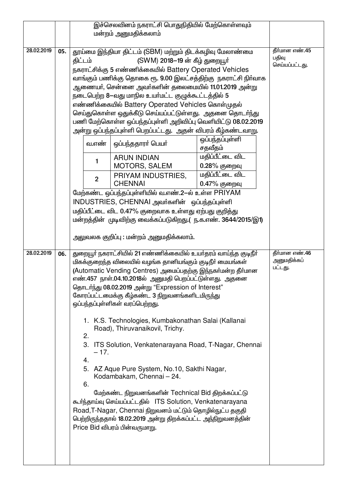|            |     |                          | இச்செலவினம் நகராட்சி பொதுநிதியில் மேற்கொள்ளவும்<br>மன்றம் அனுமதிக்கலாம்                                                                                                                                                                                                                                                                                                                                                                                                                                                                                                                                                                                                                                                                                                                                                                                                                                                  |                                        |                                           |
|------------|-----|--------------------------|--------------------------------------------------------------------------------------------------------------------------------------------------------------------------------------------------------------------------------------------------------------------------------------------------------------------------------------------------------------------------------------------------------------------------------------------------------------------------------------------------------------------------------------------------------------------------------------------------------------------------------------------------------------------------------------------------------------------------------------------------------------------------------------------------------------------------------------------------------------------------------------------------------------------------|----------------------------------------|-------------------------------------------|
| 28.02.2019 | 05. | திட்டம்                  | தூய்மை இந்தியா திட்டம் (SBM) மற்றும் திடக்கழிவு மேலாண்மை<br>(SWM) 2018–19 ன் கீழ் துறையூர்<br>நகராட்சிக்கு 5 எண்ணிக்கையில் Battery Operated Vehicles<br>வாங்கும் பணிக்கு தொகை ரூ. 9.00 இலட்சத்திற்கு நகராட்சி நிா்வாக<br>ஆணையா், சென்னை அவா்களின் தலைமையில் 11.01.2019 அன்று<br>நடைபெற்ற 8--வது மாநில உயா்மட்ட குழுக்கூட்டத்தில் 5<br>எண்ணிக்கையில் Battery Operated Vehicles கொள்முதல்<br>செய்துகொள்ள ஒதுக்கீடு செய்யப்பட்டுள்ளது. அதனை தொடா்ந்து<br>பணி மேற்கொள்ள ஒப்பந்தப்புள்ளி அறிவிப்பு வெளியிட்டு 08.02.2019<br>அன்று ஒப்பந்தப்புள்ளி பெறப்பட்டது.  அதன் விபரம் கீழ்கண்டவாறு.                                                                                                                                                                                                                                                                                                                                     |                                        | தீர்மான எண்.45<br>பதிவு<br>செய்யப்பட்டது. |
|            |     | வ.எண்                    | ஒப்பந்ததாரா் பெயா்                                                                                                                                                                                                                                                                                                                                                                                                                                                                                                                                                                                                                                                                                                                                                                                                                                                                                                       | ஒப்பந்தப்புள்ளி<br>சதவீதம்             |                                           |
|            |     | 1                        | <b>ARUN INDIAN</b><br><b>MOTORS, SALEM</b>                                                                                                                                                                                                                                                                                                                                                                                                                                                                                                                                                                                                                                                                                                                                                                                                                                                                               | மதிப்பீட்டை விட<br>$0.28%$ குறைவு      |                                           |
|            |     | $\overline{2}$           | PRIYAM INDUSTRIES,<br><b>CHENNAI</b>                                                                                                                                                                                                                                                                                                                                                                                                                                                                                                                                                                                                                                                                                                                                                                                                                                                                                     | <u>மதிப்பீட்டை விட</u><br>0.47% குறைவு |                                           |
|            |     |                          | மேற்கண்ட ஒப்பந்தப்புள்ளியில் வ.எண்.2-ல் உள்ள PRIYAM<br>INDUSTRIES, CHENNAI அவர்களின் ஒப்பந்தப்புள்ளி<br>மதிப்பீட்டை விட 0.47% குறைவாக உள்ளது ஏற்பது குறித்து<br>மன்றத்தின் முடிவிற்கு வைக்கப்படுகிறது.( ந.க.எண். 3644/2015/இ1)<br>அலுவலக குறிப்பு : மன்றம் அனுமதிக்கலாம்.                                                                                                                                                                                                                                                                                                                                                                                                                                                                                                                                                                                                                                                |                                        |                                           |
| 28.02.2019 | 06. | 2.<br>$-17.$<br>4.<br>6. | துறையூா் நகராட்சியில் 21 எண்ணிக்கையில் உயா்தரம் வாய்ந்த குடிநீா்<br>மிகக்குறைந்த விலையில் வழங்க தானியங்கும் குடிநீா் மையங்கள்<br>(Automatic Vending Centres) அமைப்பதற்கு இந்நகர்மன்ற தீர்மான<br>எண்.457 நாள்.04.10.2018ல் அனுமதி பெறப்பட்டுள்ளது. அதனை<br>தொடர்ந்து 08.02.2019 அன்று "Expression of Interest"<br>கோரப்பட்டமைக்கு கீழ்கண்ட 3 நிறுவனங்களிடமிருந்து<br>ஒப்பந்தப்புள்ளிகள் வரப்பெற்றது.<br>1. K.S. Technologies, Kumbakonathan Salai (Kallanai<br>Road), Thiruvanaikovil, Trichy.<br>3. ITS Solution, Venkatenarayana Road, T-Nagar, Chennai<br>5. AZ Aque Pure System, No.10, Sakthi Nagar,<br>Kodambakam, Chennai - 24.<br>மேற்கண்ட நிறுவனங்களின் Technical Bid திறக்கப்பட்டு<br>கூர்ந்தாய்வு செய்யப்பட்டதில் ITS Solution, Venkatenarayana<br>Road, T-Nagar, Chennai நிறுவனம் மட்டும் தொழில்நுட்ப தகுதி<br>பெற்றிருந்ததால் 18.02.2019 அன்று திறக்கப்பட்ட அந்நிறுவனத்தின்<br>Price Bid விபரம் பின்வருமாறு. |                                        | தீர்மான எண்.46<br>அனுமதிக்கப்<br>பட்டது.  |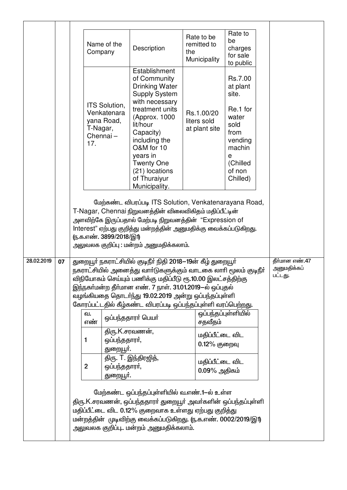|            |    | Name of the<br>Company                                                    | Description                                                                                                                                                                                                                                                                                                                                                                      | Rate to be<br>remitted to<br>the<br>Municipality | Rate to<br>be<br>charges<br>for sale<br>to public                                                                             |                                          |
|------------|----|---------------------------------------------------------------------------|----------------------------------------------------------------------------------------------------------------------------------------------------------------------------------------------------------------------------------------------------------------------------------------------------------------------------------------------------------------------------------|--------------------------------------------------|-------------------------------------------------------------------------------------------------------------------------------|------------------------------------------|
|            |    | ITS Solution,<br>Venkatenara<br>yana Road,<br>T-Nagar,<br>Chennai-<br>17. | Establishment<br>of Community<br><b>Drinking Water</b><br><b>Supply System</b><br>with necessary<br>treatment units<br>(Approx. 1000<br>lit/hour<br>Capacity)<br>including the<br>O&M for 10<br>years in<br><b>Twenty One</b><br>(21) locations<br>of Thuraiyur<br>Municipality.                                                                                                 | Rs.1.00/20<br>liters sold<br>at plant site       | Rs.7.00<br>at plant<br>site.<br>Re.1 for<br>water<br>sold<br>from<br>vending<br>machin<br>е<br>(Chilled<br>of non<br>Chilled) |                                          |
|            |    | (ந.க.எண். 3899/2018/இ1)                                                   | மேற்கண்ட விபரப்படி ITS Solution, Venkatenarayana Road,<br>T-Nagar, Chennai நிறுவனத்தின் விலைவிகிதம் மதிப்பீட்டின்<br>அளவிற்கே இருப்பதால் மேற்படி நிறுவனத்தின் "Expression of<br>Interest" ஏற்பது குறித்து மன்றத்தின் அனுமதிக்கு வைக்கப்படுகிறது.<br>அலுவலக குறிப்பு : மன்றம் அனுமதிக்கலாம்.                                                                                      |                                                  |                                                                                                                               |                                          |
| 28.02.2019 | 07 |                                                                           | துறையூா் நகராட்சியில் குடிநீா் நிதி 2018—19ன் கீழ் துறையூா்<br>நகராட்சியில் அனைத்து வாா்டுகளுக்கும் வாடகை லாாி மூலம் குடிநீா்<br>விநியோகம் செய்யும் பணிக்கு மதிப்பீடு ரூ.10.00 இலட்சத்திற்கு<br>இந்நகா்மன்ற தீா்மான எண். 7 நாள். 31.01.2019—ல் ஒப்புதல்<br>வழங்கியதை தொடர்ந்து 19.02.2019 அன்று ஒப்பந்தப்புள்ளி<br>கோரப்பட்டதில் கீழ்கண்ட விபரப்படி ஒப்பந்தப்புள்ளி வரப்பெற்றது. |                                                  |                                                                                                                               | தீர்மான எண்.47<br>அனுமதிக்கப்<br>பட்டது. |
|            |    | வ.<br>எண்                                                                 | ஒப்பந்ததாரா் பெயா்                                                                                                                                                                                                                                                                                                                                                               | சதவீதம்                                          | ஒப்பந்தப்புள்ளியில்                                                                                                           |                                          |
|            |    | ஒப்பந்ததாரா்,<br>1<br>துறையூா்.                                           | திரு.K.சரவணன்,                                                                                                                                                                                                                                                                                                                                                                   | மதிப்பீட்டை விட<br>0.12% குறைவு                  |                                                                                                                               |                                          |
|            |    | $\mathbf{2}$<br>ஒப்பந்ததாரா்,<br>துறையூா்.                                | திரு. T. இந்திரஜித்,                                                                                                                                                                                                                                                                                                                                                             | மதிப்பீட்டை விட<br>$0.09\%$ அதிகம்               |                                                                                                                               |                                          |
|            |    |                                                                           | மேற்கண்ட ஒப்பந்தப்புள்ளியில் வ.எண்.1-ல் உள்ள<br>திரு.K.சரவணன், ஒப்பந்ததாரா் துறையூா் அவா்களின் ஒப்பந்தப்புள்ளி<br>மதிப்பீட்டை விட 0.12% குறைவாக உள்ளது ஏற்பது குறித்து<br>மன்றத்தின் முடிவிற்கு வைக்கப்படுகிறது. (ந.க.எண். 0002/2019/இ1)<br>அலுவலக குறிப்பு மன்றம் அனுமதிக்கலாம்.                                                                                                |                                                  |                                                                                                                               |                                          |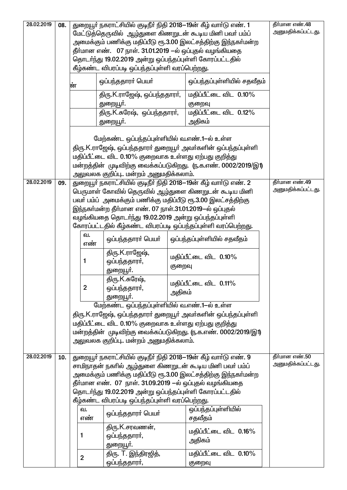| 28.02.2019 | 08. |                | துறையூா் நகராட்சியில் குடிநீா் நிதி 2018—19ன் கீழ் வாா்டு எண். 1                                                    |        |                                                                | தீர்மான எண்.48     |
|------------|-----|----------------|---------------------------------------------------------------------------------------------------------------------|--------|----------------------------------------------------------------|--------------------|
|            |     |                | மேட்டுத்தெருவில் ஆழ்துளை கிணறுடன் கூடிய மினி பவர் பம்ப்                                                             |        | அமைக்கும் பணிக்கு மதிப்பீடு ரூ.3.00 இலட்சத்திற்கு இந்நகா்மன்ற  | அனுமதிக்கப்பட்டது. |
|            |     |                | தீா்மான எண்.   07 நாள். 31.01.2019 —ல் ஒப்புதல் வழங்கியதை                                                           |        |                                                                |                    |
|            |     |                | தொடர்ந்து 19.02.2019 அன்று ஒப்பந்தப்புள்ளி கோரப்பட்டதில்                                                            |        |                                                                |                    |
|            |     |                | கீழ்கண்ட விபரப்படி ஒப்பந்தப்புள்ளி வரப்பெற்றது.                                                                     |        |                                                                |                    |
|            |     | ன்             | ஒப்பந்ததாரா் பெயா்                                                                                                  |        | ஒப்பந்தப்புள்ளியில் சதவீதம்                                    |                    |
|            |     |                | திரு.K.ராஜேஷ், ஒப்பந்ததாரா்,<br>துறையூா்.                                                                           |        | மதிப்பீட்டை விட 0.10%<br>குறைவு                                |                    |
|            |     |                | திரு.K.சுரேஷ், ஒப்பந்ததாரர்,                                                                                        |        | மதிப்பீட்டை விட 0.12%                                          |                    |
|            |     |                | துறையூா்.                                                                                                           |        | அதிகம்                                                         |                    |
|            |     |                | மேற்கண்ட ஒப்பந்தப்புள்ளியில் வ.எண்.1-ல் உள்ள<br>மதிப்பீட்டை விட 0.10% குறைவாக உள்ளது ஏற்பது குறித்து                |        | திரு.K.ராஜேஷ், ஒப்பந்ததாரா் துறையூா் அவா்களின் ஒப்பந்தப்புள்ளி |                    |
|            |     |                |                                                                                                                     |        | மன்றத்தின் முடிவிற்கு வைக்கப்படுகிறது. (ந.க.எண். 0002/2019/இ1) |                    |
|            |     |                | அலுவலக குறிப்பு மன்றம் அனுமதிக்கலாம்.                                                                               |        |                                                                |                    |
| 28.02.2019 | 09. |                | துறையூா் நகராட்சியில் குடிநீா் நிதி 2018—19ன் கீழ் வாா்டு எண். 2                                                    |        |                                                                | தீர்மான எண்.49     |
|            |     |                | பெருமாள் கோவில் தெருவில் ஆழ்துளை கிணறுடன் கூடிய மினி                                                                |        |                                                                | அனுமதிக்கப்பட்டது. |
|            |     |                | பவா பம்ப் அமைக்கும் பணிக்கு மதிப்பீடு ரூ.3.00 இலட்சத்திற்கு                                                         |        |                                                                |                    |
|            |     |                | இந்நகா்மன்ற தீா்மான எண். 07 நாள்.31.01.2019—ல் ஒப்புதல்<br>வழங்கியதை தொடர்ந்து 19.02.2019 அன்று ஒப்பந்தப்புள்ளி     |        |                                                                |                    |
|            |     |                | கோரப்பட்டதில் கீழ்கண்ட விபரப்படி ஒப்பந்தப்புள்ளி வரப்பெற்றது.                                                       |        |                                                                |                    |
|            |     | ഖ.             |                                                                                                                     |        |                                                                |                    |
|            |     | எண்            | ஒப்பந்ததாரா் பெயா்                                                                                                  |        | ஒப்பந்தப்புள்ளியில் சதவீதம்                                    |                    |
|            |     |                | திரு.K.ராஜேஷ்,                                                                                                      |        | மதிப்பீட்டை விட 0.10%                                          |                    |
|            |     | 1              | ஒப்பந்ததாரா்,                                                                                                       | குறைவு |                                                                |                    |
|            |     |                | துறையூா்.<br>திரு.K.சுரேஷ்,                                                                                         |        |                                                                |                    |
|            |     | $\overline{2}$ | ஒப்பந்ததாரா்,                                                                                                       |        | மதிப்பீட்டை விட 0.11%                                          |                    |
|            |     |                | துறையூா்.                                                                                                           | அதிகம் |                                                                |                    |
|            |     |                | மேற்கண்ட ஒப்பந்தப்புள்ளியில் வ.எண்.1-ல் உள்ள                                                                        |        |                                                                |                    |
|            |     |                |                                                                                                                     |        | திரு.K.ராஜேஷ், ஒப்பந்ததாரா் துறையூா் அவா்களின் ஒப்பந்தப்புள்ளி |                    |
|            |     |                | மதிப்பீட்டை விட 0.10% குறைவாக உள்ளது ஏற்பது குறித்து                                                                |        |                                                                |                    |
|            |     |                |                                                                                                                     |        | மன்றத்தின் முடிவிற்கு வைக்கப்படுகிறது. (ந.க.எண். 0002/2019/இ1) |                    |
|            |     |                | அலுவலக குறிப்பு மன்றம் அனுமதிக்கலாம்.                                                                               |        |                                                                |                    |
| 28.02.2019 | 10. |                | துறையூா் நகராட்சியில் குடிநீா் நிதி 2018—19ன் கீழ் வாா்டு எண். 9                                                    |        |                                                                | தீர்மான எண்.50     |
|            |     |                | சாமிநாதன் நகரில் ஆழ்துளை கிணறுடன் கூடிய மினி பவர் பம்ப்                                                             |        |                                                                | அனுமதிக்கப்பட்டது. |
|            |     |                |                                                                                                                     |        | அமைக்கும் பணிக்கு மதிப்பீடு ரூ.3.00 இலட்சத்திற்கு இந்நகா்மன்ற  |                    |
|            |     |                | தீர்மான எண். 07 நாள். 31.09.2019 —ல் ஒப்புதல் வழங்கியதை<br>தொடா்ந்து 19.02.2019 அன்று ஒப்பந்தப்புள்ளி கோரப்பட்டதில் |        |                                                                |                    |
|            |     |                | கீழ்கண்ட விபரப்படி ஒப்பந்தப்புள்ளி வரப்பெற்றது.                                                                     |        |                                                                |                    |
|            |     | வ.             |                                                                                                                     |        | ஒப்பந்தப்புள்ளியில்                                            |                    |
|            |     | எண்            | ஒப்பந்ததாரா் பெயா்                                                                                                  |        | சதவீதம்                                                        |                    |
|            |     |                | திரு.K.சரவணன்,                                                                                                      |        | மதிப்பீட்டை விட 0.16%                                          |                    |
|            |     | 1              | ஒப்பந்ததாரா்,                                                                                                       |        | அதிகம்                                                         |                    |
|            |     |                | துறையூா்.                                                                                                           |        |                                                                |                    |
|            |     | 2              | திரு. T. இந்திரஜித்,<br>ஒப்பந்ததாரா்,                                                                               |        | மதிப்பீட்டை விட 0.10%<br>குறைவு                                |                    |
|            |     |                |                                                                                                                     |        |                                                                |                    |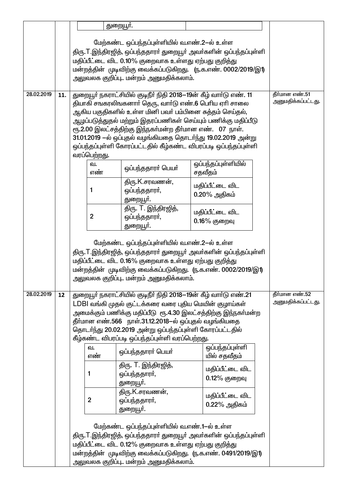|            |     |                | துறையூா்.                                                                                                                                                                                                                                                                                          |                                                                                                                                                                                                   |                                      |
|------------|-----|----------------|----------------------------------------------------------------------------------------------------------------------------------------------------------------------------------------------------------------------------------------------------------------------------------------------------|---------------------------------------------------------------------------------------------------------------------------------------------------------------------------------------------------|--------------------------------------|
|            |     |                | மேற்கண்ட ஒப்பந்தப்புள்ளியில் வ.எண்.2-ல் உள்ள<br>மதிப்பீட்டை விட 0.10% குறைவாக உள்ளது ஏற்பது குறித்து<br>அலுவலக குறிப்பு மன்றம் அனுமதிக்கலாம்.                                                                                                                                                      | திரு.T.இந்திரஜித், ஒப்பந்ததாரா் துறையூா் அவா்களின் ஒப்பந்தப்புள்ளி<br>மன்றத்தின் முடிவிற்கு வைக்கப்படுகிறது. (ந.க.எண். 0002/2019/இ1)                                                              |                                      |
| 28.02.2019 | 11. | வரப்பெற்றது.   | துறையூா் நகராட்சியில் குடிநீா் நிதி 2018—19ன் கீழ் வாா்டு எண். 11<br>தியாகி சஙகரலிஙகனாா் தெரு, வாா்டு எண்.6 பொிய ஏாி சாலை<br>ஆகிய பகுதிகளில் உள்ள மினி பவா் பம்பினை சுத்தம் செய்தல்,<br>ரூ.2.00 இலட்சத்திற்கு இந்நகா்மன்ற தீா்மான எண். 07 நாள்.                                                    | ஆழப்படுத்துதல் மற்றும் இதரப்பணிகள் செய்யும் பணிக்கு மதிப்பீடு<br>31.01.2019 -ல் ஒப்புதல் வழங்கியதை தொடர்ந்து 19.02.2019 அன்று<br>ஒப்பந்தப்புள்ளி கோரப்பட்டதில் கீழ்கண்ட விபரப்படி ஒப்பந்தப்புள்ளி | தீர்மான எண்.51<br>அனுமதிக்கப்பட்டது. |
|            |     | வ.             | ஒப்பந்ததாரா் பெயா்                                                                                                                                                                                                                                                                                 | ஒப்பந்தப்புள்ளியில்                                                                                                                                                                               |                                      |
|            |     | எண்<br>1       | திரு.K.சரவணன்,<br>ஒப்பந்ததாரா்,<br>துறையூா்.                                                                                                                                                                                                                                                       | சதவீதம்<br>மதிப்பீட்டை விட<br>$0.20\%$ அதிகம்                                                                                                                                                     |                                      |
|            |     | 2              | திரு. T. இந்திரஜித்,<br>ஒப்பந்ததாரா்,<br>துறையூா்.                                                                                                                                                                                                                                                 | மதிப்பீட்டை விட<br>0.16% குறைவு                                                                                                                                                                   |                                      |
|            |     |                | மேற்கண்ட ஒப்பந்தப்புள்ளியில் வ.எண்.2-ல் உள்ள<br>மதிப்பீட்டை விட 0.16% குறைவாக உள்ளது ஏற்பது குறித்து<br>அலுவலக குறிப்பு மன்றம் அனுமதிக்கலாம்.                                                                                                                                                      | திரு.T.இந்திரஜித், ஒப்பந்ததாரா் துறையூா் அவா்களின் ஒப்பந்தப்புள்ளி<br>மன்றத்தின் முடிவிற்கு வைக்கப்படுகிறது. (ந.க.எண். 0002/2019/இ1)                                                              |                                      |
| 28.02.2019 | 12  |                | துறையூா் நகராட்சியில் குடிநீா் நிதி 2018—19ன் கீழ் வாா்டு எண்.21<br>LDBl வங்கி முதல் குட்டக்கரை வரை புதிய மெயின் குழாய்கள்<br>தீா்மான எண்.566 நாள்.31.12.2018—ல் ஒப்புதல் வழங்கியதை<br>தொடர்ந்து 20.02.2019 அன்று ஒப்பந்தப்புள்ளி கோரப்பட்டதில்<br>கீழ்கண்ட விபரப்படி ஒப்பந்தப்புள்ளி வரப்பெற்றது. | அமைக்கும் பணிக்கு மதிப்பீடு  ரூ.4.30 இலட்சத்திற்கு இந்நகா்மன்ற                                                                                                                                    | தீர்மான எண்.52<br>அனுமதிக்கப்பட்டது. |
|            |     | ഖ.<br>எண்      | ஒப்பந்ததாரா் பெயா்                                                                                                                                                                                                                                                                                 | ஒப்பந்தப்புள்ளி<br>யில் சதவீதம்                                                                                                                                                                   |                                      |
|            |     | 1              | திரு. T. இந்திரஜித்,<br>ஒப்பந்ததாரா்,<br>துறையூா்.                                                                                                                                                                                                                                                 | மதிப்பீட்டை விட<br>0.12% குறைவு                                                                                                                                                                   |                                      |
|            |     | $\overline{2}$ | திரு.K.சரவணன்,<br>ஒப்பந்ததாரா்,<br>துறையூா்.                                                                                                                                                                                                                                                       | மதிப்பீட்டை விட<br>$0.22\%$ அதிகம்                                                                                                                                                                |                                      |
|            |     |                | மேற்கண்ட ஒப்பந்தப்புள்ளியில் வ.எண்.1-ல் உள்ள<br>மதிப்பீட்டை விட 0.12% குறைவாக உள்ளது ஏற்பது குறித்து<br>அலுவலக குறிப்பு மன்றம் அனுமதிக்கலாம்.                                                                                                                                                      | திரு.T.இந்திரஜித், ஒப்பந்ததாரா் துறையூா் அவா்களின் ஒப்பந்தப்புள்ளி<br>மன்றத்தின் முடிவிற்கு வைக்கப்படுகிறது. (ந.க.எண். 0491/2019/இ1)                                                              |                                      |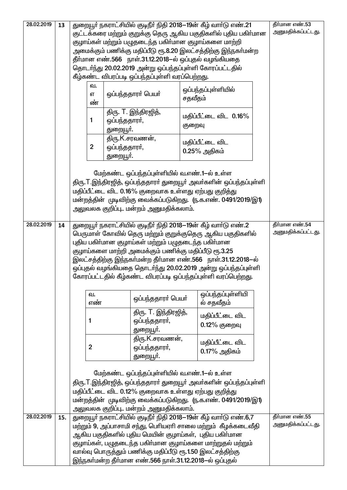| 28.02.2019 | 13  |                |                                                           | துறையூா் நகராட்சியில் குடிநீா் நிதி 2018—19ன் கீழ் வாா்டு எண்.21   | தீர்மான எண்.53                       |
|------------|-----|----------------|-----------------------------------------------------------|--------------------------------------------------------------------|--------------------------------------|
|            |     |                |                                                           | குட்டக்கரை மற்றும் குறுக்கு தெரு ஆகிய பகுதிகளில் புதிய பகிா்மான    | அனுமதிக்கப்பட்டது.                   |
|            |     |                | குழாய்கள் மற்றும் பழுதடைந்த பகிா்மான குழாய்களை மாற்றி     |                                                                    |                                      |
|            |     |                |                                                           | அமைக்கும் பணிக்கு மதிப்பீடு ரூ.8.20 இலட்சத்திற்கு இந்நகா்மன்ற      |                                      |
|            |     |                | தீா்மான எண்.566 நாள்.31.12.2018-ல் ஒப்புதல் வழங்கியதை     |                                                                    |                                      |
|            |     |                | தொடர்ந்து 20.02.2019 அன்று ஒப்பந்தப்புள்ளி கோரப்பட்டதில்  |                                                                    |                                      |
|            |     |                | கீழ்கண்ட விபரப்படி ஒப்பந்தப்புள்ளி வரப்பெற்றது.           |                                                                    |                                      |
|            |     |                |                                                           |                                                                    |                                      |
|            |     | வ.             |                                                           | ஒப்பந்தப்புள்ளியில்                                                |                                      |
|            |     | எ              | ஒப்பந்ததாரா் பெயா்                                        | சதவீதம்                                                            |                                      |
|            |     | ண்             |                                                           |                                                                    |                                      |
|            |     |                | திரு. T. இந்திரஜித்,                                      | மதிப்பீட்டை விட 0.16%                                              |                                      |
|            |     | 1              | ஒப்பந்ததாரா்,                                             | குறைவு                                                             |                                      |
|            |     |                | துறையூா்.                                                 |                                                                    |                                      |
|            |     |                | திரு.K.சரவணன்,                                            | மதிப்பீட்டை விட                                                    |                                      |
|            |     | $\overline{2}$ | ஒப்பந்ததாரா்,                                             |                                                                    |                                      |
|            |     |                | துறையூா்.                                                 | $0.25\%$ அதிகம்                                                    |                                      |
|            |     |                |                                                           |                                                                    |                                      |
|            |     |                | மேற்கண்ட ஒப்பந்தப்புள்ளியில் வ.எண்.1-ல் உள்ள              |                                                                    |                                      |
|            |     |                |                                                           | திரு.T.இந்திரஜித், ஒப்பந்ததாரா் துறையூா் அவா்களின் ஒப்பந்தப்புள்ளி |                                      |
|            |     |                |                                                           |                                                                    |                                      |
|            |     |                | மதிப்பீட்டை விட 0.16% குறைவாக உள்ளது ஏற்பது குறித்து      |                                                                    |                                      |
|            |     |                |                                                           | மன்றத்தின் முடிவிற்கு வைக்கப்படுகிறது. (ந.க.எண். 0491/2019/இ1)     |                                      |
|            |     |                | அலுவலக குறிப்பு மன்றம் அனுமதிக்கலாம்.                     |                                                                    |                                      |
|            |     |                |                                                           |                                                                    |                                      |
| 28.02.2019 | 14  |                |                                                           | துறையூா் நகராட்சியில் குடிநீா் நிதி 2018—19ன் கீழ் வாா்டு எண்.2    | தீர்மான எண்.54<br>அனுமதிக்கப்பட்டது. |
|            |     |                |                                                           | பெருமாள் கோவில் தெரு மற்றும் குறுக்குதெரு ஆகிய பகுதிகளில்          |                                      |
|            |     |                | புதிய பகிா்மான குழாய்கள் மற்றும் பழுதடைந்த பகிா்மான       |                                                                    |                                      |
|            |     |                |                                                           |                                                                    |                                      |
|            |     |                | குழாய்களை மாற்றி அமைக்கும் பணிக்கு மதிப்பீடு ரூ.3.25      |                                                                    |                                      |
|            |     |                |                                                           | இலட்சத்திற்கு இந்நகா்மன்ற தீா்மான எண்.566 நாள்.31.12.2018—ல்       |                                      |
|            |     |                |                                                           | ஒப்புதல் வழங்கியதை தொடர்ந்து 20.02.2019 அன்று ஒப்பந்தப்புள்ளி      |                                      |
|            |     |                |                                                           | கோரப்பட்டதில் கீழ்கண்ட விபரப்படி ஒப்பந்தப்புள்ளி வரப்பெற்றது.      |                                      |
|            |     |                |                                                           |                                                                    |                                      |
|            |     | வ.             |                                                           | ஒப்பந்தப்புள்ளியி                                                  |                                      |
|            |     | எண்            | ஒப்பந்ததாரா் பெயா்                                        | ல் சதவீதம்                                                         |                                      |
|            |     |                | திரு. T. இந்திரஜித்,                                      |                                                                    |                                      |
|            |     | 1              |                                                           | மதிப்பீட்டை விட                                                    |                                      |
|            |     |                | ஒப்பந்ததாரா்,                                             | 0.12% குறைவு                                                       |                                      |
|            |     |                | துறையூா்.                                                 |                                                                    |                                      |
|            |     |                | திரு.K.சரவணன்,                                            | மதிப்பீட்டை விட                                                    |                                      |
|            |     | $\overline{2}$ | ஒப்பந்ததாரா்,                                             | $0.17\%$ அதிகம்                                                    |                                      |
|            |     |                | துறையூா்.                                                 |                                                                    |                                      |
|            |     |                |                                                           |                                                                    |                                      |
|            |     |                | மேற்கண்ட ஒப்பந்தப்புள்ளியில் வ.எண்.1-ல் உள்ள              |                                                                    |                                      |
|            |     |                |                                                           | திரு.T.இந்திரஜித், ஒப்பந்ததாரா் துறையூா் அவா்களின் ஒப்பந்தப்புள்ளி |                                      |
|            |     |                | மதிப்பீட்டை விட 0.12% குறைவாக உள்ளது ஏற்பது குறித்து      |                                                                    |                                      |
|            |     |                |                                                           | மன்றத்தின் முடிவிற்கு வைக்கப்படுகிறது. (ந.க.எண். 0491/2019/இ1)     |                                      |
|            |     |                | அலுவலக குறிப்பு மன்றம் அனுமதிக்கலாம்.                     |                                                                    |                                      |
| 28.02.2019 | 15. |                |                                                           | துறையூா் நகராட்சியில் குடிநீா் நிதி 2018—19ன் கீழ் வாா்டு எண்.6,7  | தீர்மான எண்.55                       |
|            |     |                |                                                           | மற்றும் 9, அப்பாசாமி சந்து, பெரியஏரி சாலை மற்றும் கீழக்கடைவீதி     | அனுமதிக்கப்பட்டது.                   |
|            |     |                | ஆகிய பகுதிகளில் புதிய மெயின் குழாய்கள், புதிய பகிா்மான    |                                                                    |                                      |
|            |     |                |                                                           | குழாய்கள், பழுதடைந்த பகிா்மான குழாய்களை மாற்றுதல் மற்றும்          |                                      |
|            |     |                | வால்வு பொருத்தும் பணிக்கு மதிப்பீடு ரூ.1.50 இலட்சத்திற்கு |                                                                    |                                      |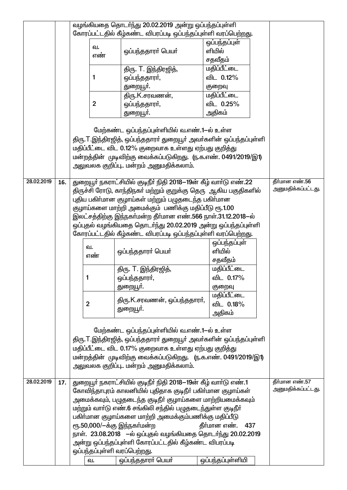|            |     |                |                | வழங்கியதை தொடர்ந்து 20.02.2019 அன்று ஒப்பந்தப்புள்ளி               |                     |                                      |
|------------|-----|----------------|----------------|--------------------------------------------------------------------|---------------------|--------------------------------------|
|            |     |                |                | கோரப்பட்டதில் கீழ்கண்ட விபரப்படி ஒப்பந்தப்புள்ளி வரப்பெற்றது.      |                     |                                      |
|            |     |                | வ.             |                                                                    | ஒப்பந்தப்புள்       |                                      |
|            |     |                | எண்            | ஒப்பந்ததாரர் பெயர்                                                 | ளியில்              |                                      |
|            |     |                |                |                                                                    | சதவீதம்             |                                      |
|            |     |                |                | திரு. T. இந்திரஜித்,                                               | மதிப்பீட்டை         |                                      |
|            |     |                | 1              | ஒப்பந்ததாரா்,                                                      | விட 0.12%           |                                      |
|            |     |                |                | துறையூா்.                                                          | குறைவு              |                                      |
|            |     |                |                | திரு.K.சரவணன்,                                                     | <u>மதிப்பீட்டை</u>  |                                      |
|            |     |                | $\overline{2}$ | ஒப்பந்ததாரா்,                                                      | விட 0.25%           |                                      |
|            |     |                |                | துறையூா்.                                                          | அதிகம்              |                                      |
|            |     |                |                |                                                                    |                     |                                      |
|            |     |                |                | மேற்கண்ட ஒப்பந்தப்புள்ளியில் வ.எண்.1—ல் உள்ள                       |                     |                                      |
|            |     |                |                | திரு.T.இந்திரஜித், ஒப்பந்ததாரா் துறையூா் அவா்களின் ஒப்பந்தப்புள்ளி |                     |                                      |
|            |     |                |                | மதிப்பீட்டை விட 0.12% குறைவாக உள்ளது ஏற்பது குறித்து               |                     |                                      |
|            |     |                |                | மன்றத்தின் முடிவிற்கு வைக்கப்படுகிறது. (ந.க.எண். 0491/2019/இ1)     |                     |                                      |
|            |     |                |                | அலுவலக குறிப்பு மன்றம் அனுமதிக்கலாம்.                              |                     |                                      |
|            |     |                |                |                                                                    |                     |                                      |
| 28.02.2019 | 16. |                |                | துறையூா் நகராட்சியில் குடிநீா் நிதி 2018—19ன் கீழ் வாா்டு எண்.22   |                     | தீர்மான எண்.56                       |
|            |     |                |                | திருச்சி ரோடு, காந்திநகா் மற்றும் குறுக்கு தெரு  ஆகிய பகுதிகளில்   |                     | அனுமதிக்கப்பட்டது.                   |
|            |     |                |                | புதிய பகிா்மான குழாய்கள் மற்றும் பழுதடைந்த பகிா்மான                |                     |                                      |
|            |     |                |                | குழாய்களை மாற்றி அமைக்கும் பணிக்கு மதிப்பீடு ரூ.1.00               |                     |                                      |
|            |     |                |                | இலட்சத்திற்கு இந்நகா்மன்ற தீா்மான எண்.566 நாள்.31.12.2018—ல்       |                     |                                      |
|            |     |                |                | ஒப்புதல் வழங்கியதை தொடர்ந்து 20.02.2019 அன்று ஒப்பந்தப்புள்ளி      |                     |                                      |
|            |     |                |                | கோரப்பட்டதில் கீழ்கண்ட விபரப்படி ஒப்பந்தப்புள்ளி வரப்பெற்றது.      |                     |                                      |
|            |     |                |                |                                                                    | ஒப்பந்தப்புள்       |                                      |
|            |     |                | வ.             | ஒப்பந்ததாரா் பெயா்                                                 | ளியில்              |                                      |
|            |     |                | எண்            |                                                                    | சதவீதம்             |                                      |
|            |     |                |                | திரு. T. இந்திரஜித்,                                               | மதிப்பீட்டை         |                                      |
|            |     | 1              |                | ஒப்பந்ததாரா்,                                                      | விட 0.17%           |                                      |
|            |     |                |                | துறையூா்.                                                          | குறைவு              |                                      |
|            |     |                |                |                                                                    | <u>மதிப்பீட்டை</u>  |                                      |
|            |     | $\overline{2}$ |                | திரு.K.சரவணன், ஒப்பந்ததாரர்,                                       | விட 0.18%           |                                      |
|            |     |                |                | துறையூா்.                                                          |                     |                                      |
|            |     |                |                |                                                                    | அதிகம்              |                                      |
|            |     |                |                |                                                                    |                     |                                      |
|            |     |                |                | மேற்கண்ட ஒப்பந்தப்புள்ளியில் வ.எண்.1-ல் உள்ள                       |                     |                                      |
|            |     |                |                | திரு.T.இந்திரஜித், ஒப்பந்ததாரா் துறையூா் அவா்களின் ஒப்பந்தப்புள்ளி |                     |                                      |
|            |     |                |                | மதிப்பீட்டை விட 0.17% குறைவாக உள்ளது ஏற்பது குறித்து               |                     |                                      |
|            |     |                |                | மன்றத்தின் முடிவிற்கு வைக்கப்படுகிறது. (ந.க.எண். 0491/2019/இ1)     |                     |                                      |
|            |     |                |                | அலுவலக குறிப்பு மன்றம் அனுமதிக்கலாம்.                              |                     |                                      |
|            |     |                |                |                                                                    |                     |                                      |
| 28.02.2019 | 17. |                |                | துறையூா் நகராட்சியில் குடிநீா் நிதி 2018—19ன் கீழ் வாா்டு எண்.1    |                     | தீர்மான எண்.57<br>அனுமதிக்கப்பட்டது. |
|            |     |                |                | கோவிந்தாபுரம் காலனியில் புதிதாக குடிநீா் பகிா்மான குழாய்கள்        |                     |                                      |
|            |     |                |                | அமைக்கவும், பழுதடைந்த குடிநீா் குழாய்களை மாற்றியமைக்கவும்          |                     |                                      |
|            |     |                |                | மற்றும் வாா்டு எண்.6 சங்கிலி சந்தில் பழுதடைந்துள்ள குடிநீா்        |                     |                                      |
|            |     |                |                | பகிா்மான குழாய்களை மாற்றி அமைக்கும்பணிக்கு மதிப்பீடு               |                     |                                      |
|            |     |                |                | ரூ.50,000/-க்கு இந்நகா்மன்ற                                        | தீர்மான எண்.<br>437 |                                      |
|            |     |                |                | நாள். 23.08.2018 –ல் ஒப்புதல் வழங்கியதை தொடர்ந்து 20.02.2019       |                     |                                      |
|            |     |                |                | அன்று ஒப்பந்தப்புள்ளி கோரப்பட்டதில் கீழ்கண்ட விபரப்படி             |                     |                                      |
|            |     |                |                | ஒப்பந்தப்புள்ளி வரப்பெற்றது.                                       |                     |                                      |
|            |     |                | வ.             | ஒப்பந்ததாரர் பெயர்                                                 | ஒப்பந்தப்புள்ளியி   |                                      |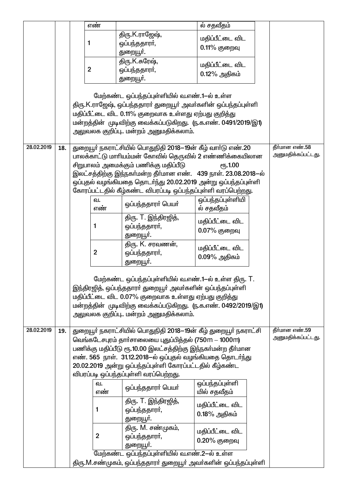|            |     |                | எண்            |                                                                                                                        | ல் சதவீதம்        |                    |
|------------|-----|----------------|----------------|------------------------------------------------------------------------------------------------------------------------|-------------------|--------------------|
|            |     |                |                | திரு.K.ராஜேஷ்,                                                                                                         | மதிப்பீட்டை விட   |                    |
|            |     | 1              |                | ஒப்பந்ததாரா்,                                                                                                          | 0.11% குறைவு      |                    |
|            |     |                |                | துறையூா்.                                                                                                              |                   |                    |
|            |     |                |                | திரு.K.சுரேஷ்,                                                                                                         | மதிப்பீட்டை விட   |                    |
|            |     | $\overline{2}$ |                | ஒப்பந்ததாரா்,                                                                                                          | 0.12% அதிகம்      |                    |
|            |     |                |                | துறையூா்.                                                                                                              |                   |                    |
|            |     |                |                | மேற்கண்ட ஒப்பந்தப்புள்ளியில் வ.எண்.1-ல் உள்ள                                                                           |                   |                    |
|            |     |                |                | திரு.K.ராஜேஷ், ஒப்பந்ததாரா் துறையூா் அவா்களின் ஒப்பந்தப்புள்ளி                                                         |                   |                    |
|            |     |                |                | மதிப்பீட்டை விட 0.11% குறைவாக உள்ளது ஏற்பது குறித்து                                                                   |                   |                    |
|            |     |                |                | மன்றத்தின் முடிவிற்கு வைக்கப்படுகிறது. (ந.க.எண். 0491/2019/இ1)                                                         |                   |                    |
|            |     |                |                | அலுவலக குறிப்பு மன்றம் அனுமதிக்கலாம்.                                                                                  |                   |                    |
| 28.02.2019 |     |                |                |                                                                                                                        |                   | தீர்மான எண்.58     |
|            | 18. |                |                | துறையூா் நகராட்சியில் பொதுநிதி 2018—19ன் கீழ் வாா்டு எண்.20<br>பாலக்காட்டு மாரியம்மன் கோவில் தெருவில் 2 எண்ணிக்கையிலான |                   | அனுமதிக்கப்பட்டது. |
|            |     |                |                | சிறுபாலம் அமைக்கும் பணிக்கு மதிப்பீடு                                                                                  | <b>е</b> ҧ.1.00   |                    |
|            |     |                |                | இலட்சத்திற்கு இந்நகா்மன்ற தீா்மான எண். 439 நாள். 23.08.2018-ல்                                                         |                   |                    |
|            |     |                |                | ஒப்புதல் வழங்கியதை தொடர்ந்து 20.02.2019 அன்று ஒப்பந்தப்புள்ளி                                                          |                   |                    |
|            |     |                |                | கோரப்பட்டதில் கீழ்கண்ட விபரப்படி ஒப்பந்தப்புள்ளி வரப்பெற்றது.                                                          |                   |                    |
|            |     |                | வ.             | ஒப்பந்ததாரா் பெயா்                                                                                                     | ஒப்பந்தப்புள்ளியி |                    |
|            |     |                | எண்            |                                                                                                                        | ல் சதவீதம்        |                    |
|            |     |                | 1              | திரு. T. இந்திரஜித்,                                                                                                   | மதிப்பீட்டை விட   |                    |
|            |     |                |                | ஒப்பந்ததாரா்,<br>துறையூா்.                                                                                             | 0.07% குறைவு      |                    |
|            |     |                |                | திரு. K. சரவணன்,                                                                                                       |                   |                    |
|            |     |                | $\mathbf{2}$   | ஒப்பந்ததாரா்,                                                                                                          | மதிப்பீட்டை விட   |                    |
|            |     |                |                | துறையூா்.                                                                                                              | $0.09\%$ அதிகம்   |                    |
|            |     |                |                |                                                                                                                        |                   |                    |
|            |     |                |                | மேற்கண்ட ஒப்பந்தப்புள்ளியில் வ.எண்.1—ல் உள்ள திரு. T.                                                                  |                   |                    |
|            |     |                |                | இந்திரஜித், ஒப்பந்ததாரா் துறையூா் அவா்களின் ஒப்பந்தப்புள்ளி                                                            |                   |                    |
|            |     |                |                | மதிப்பீட்டை விட 0.07% குறைவாக உள்ளது ஏற்பது குறித்து<br>மன்றத்தின் முடிவிற்கு வைக்கப்படுகிறது. (ந.க.எண். 0492/2019/இ1) |                   |                    |
|            |     |                |                | அலுவலக குறிப்பு மன்றம் அனுமதிக்கலாம்.                                                                                  |                   |                    |
|            |     |                |                |                                                                                                                        |                   |                    |
| 28.02.2019 | 19. |                |                | துறையூா் நகராட்சியில் பொதுநிதி 2018—19ன் கீழ் துறையூா் நகராட்சி                                                        |                   | தீர்மான எண்.59     |
|            |     |                |                | வெங்கடேசபுரம் தாா்சாலையை புதுப்பித்தல் (750m – 1000m)                                                                  |                   | அனுமதிக்கப்பட்டது. |
|            |     |                |                | பணிக்கு மதிப்பீடு ரூ.10.00 இலட்சத்திற்கு இந்நகா்மன்ற தீா்மான                                                           |                   |                    |
|            |     |                |                | எண். 565 நாள். 31.12.2018–ல் ஒப்புதல் வழங்கியதை தொடர்ந்து<br>20.02.2019 அன்று ஒப்பந்தப்புள்ளி கோரப்பட்டதில் கீழ்கண்ட   |                   |                    |
|            |     |                |                | விபரப்படி ஒப்பந்தப்புள்ளி வரப்பெற்றது.                                                                                 |                   |                    |
|            |     |                | ഖ.             |                                                                                                                        | ஒப்பந்தப்புள்ளி   |                    |
|            |     |                | எண்            | ஒப்பந்ததாரா் பெயா்                                                                                                     | யில் சதவீதம்      |                    |
|            |     |                |                | திரு. T. இந்திரஜித்,                                                                                                   | மதிப்பீட்டை விட   |                    |
|            |     |                | 1              | ஒப்பந்ததாரா்,                                                                                                          | $0.18\%$ அதிகம்   |                    |
|            |     |                |                | துறையூா்.                                                                                                              |                   |                    |
|            |     |                |                | திரு. M. சண்முகம்,                                                                                                     | மதிப்பீட்டை விட   |                    |
|            |     |                | $\overline{2}$ | ஒப்பந்ததாரா்,                                                                                                          | 0.20% குறைவு      |                    |
|            |     |                |                | துறையூா்.<br>மேற்கண்ட ஒப்பந்தப்புள்ளியில் வ.எண்.2-ல் உள்ள                                                              |                   |                    |
|            |     |                |                | திரு.M.சண்முகம், ஒப்பந்ததாரா் துறையூா் அவா்களின் ஒப்பந்தப்புள்ளி                                                       |                   |                    |
|            |     |                |                |                                                                                                                        |                   |                    |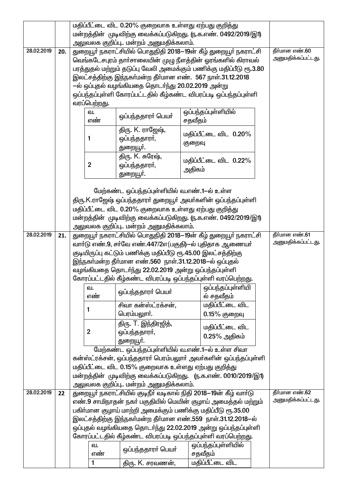|            |     |                | மதிப்பீட்டை விட 0.20% குறைவாக உள்ளது ஏற்பது குறித்து                                                                                                                                                                                                                                                                                                                                        |         |                                          |                                      |
|------------|-----|----------------|---------------------------------------------------------------------------------------------------------------------------------------------------------------------------------------------------------------------------------------------------------------------------------------------------------------------------------------------------------------------------------------------|---------|------------------------------------------|--------------------------------------|
|            |     |                | மன்றத்தின் முடிவிற்கு வைக்கப்படுகிறது. (ந.க.எண். 0492/2019/இ1)                                                                                                                                                                                                                                                                                                                              |         |                                          |                                      |
|            |     |                | அலுவலக குறிப்பு மன்றம் அனுமதிக்கலாம்.                                                                                                                                                                                                                                                                                                                                                       |         |                                          |                                      |
| 28.02.2019 | 20. | வரப்பெற்றது.   | துறையூர் நகராட்சியில் பொதுநிதி 2018–19ன் கீழ் துறையூர் நகராட்சி<br>வெங்கடேசபுரம் தாா்சாலையின் முழு நீளத்தின் ஓரங்களில் கிராவல்<br>பரத்துதல் மற்றும் தடுப்பு வேலி அமைக்கும் பணிக்கு மதிப்பீடு ரூ.3.80<br>இலட்சத்திற்கு இந்நகா்மன்ற தீா்மான எண். 567 நாள்.31.12.2018<br>–ல் ஒப்புதல் வழங்கியதை தொடர்ந்து 20.02.2019 அன்று<br>ஒப்பந்தப்புள்ளி கோரப்பட்டதில் கீழ்கண்ட விபரப்படி ஒப்பந்தப்புள்ளி |         |                                          | தீர்மான எண்.60<br>அனுமதிக்கப்பட்டது. |
|            |     | வ.<br>எண்      | ஒப்பந்ததாரா் பெயா்                                                                                                                                                                                                                                                                                                                                                                          | சதவீதம் | ஒப்பந்தப்புள்ளியில்                      |                                      |
|            |     | 1              | திரு. K. ராஜேஷ்,<br>ஒப்பந்ததாரா்,<br>துறையூா்.                                                                                                                                                                                                                                                                                                                                              | குறைவு  | மதிப்பீட்டை விட 0.20%                    |                                      |
|            |     | $\overline{2}$ | திரு. K. சுரேஷ்,<br>ஒப்பந்ததாரா்,<br>துறையூா்.                                                                                                                                                                                                                                                                                                                                              | அதிகம்  | மதிப்பீட்டை விட 0.22%                    |                                      |
|            |     |                | மேற்கண்ட ஒப்பந்தப்புள்ளியில் வ.எண்.1—ல் உள்ள<br>திரு.K.ராஜேஷ் ஒப்பந்ததாரா் துறையூா் அவா்களின் ஒப்பந்தப்புள்ளி<br>மதிப்பீட்டை விட 0.20% குறைவாக உள்ளது ஏற்பது குறித்து<br>மன்றத்தின் முடிவிற்கு வைக்கப்படுகிறது. (ந.க.எண். 0492/2019/இ1)<br>அலுவலக குறிப்பு மன்றம் அனுமதிக்கலாம்.                                                                                                            |         |                                          |                                      |
| 28.02.2019 | 21. |                | துறையூர் நகராட்சியில் பொதுநிதி 2018—19ன் கீழ் துறையூர் நகராட்சி                                                                                                                                                                                                                                                                                                                             |         |                                          | தீர்மான எண்.61                       |
|            |     |                | வாா்டு எண்.9, சா்வே எண்.447/2எ(பகுதி)—ல் புதிதாக ஆணையா்                                                                                                                                                                                                                                                                                                                                     |         |                                          | அனுமதிக்கப்பட்டது.                   |
|            |     |                | குடியிருப்பு கட்டும் பணிக்கு மதிப்பீடு ரூ.45.00 இலட்சத்திற்கு<br>இந்நகா்மன்ற தீா்மான எண்.560  நாள்.31.12.2018—ல் ஒப்புதல்<br>வழங்கியதை தொடர்ந்து 22.02.2019 அன்று ஒப்பந்தப்புள்ளி<br>கோரப்பட்டதில் கீழ்கண்ட விபரப்படி ஒப்பந்தப்புள்ளி வரப்பெற்றது.                                                                                                                                          |         |                                          |                                      |
|            |     | வ.<br>எண்      | ஒப்பந்ததாரா் பெயா்                                                                                                                                                                                                                                                                                                                                                                          |         | ஒப்பந்தப்புள்ளியி<br>ல் சதவீதம்          |                                      |
|            |     | 1              | சிவா கன்ஸ்ட்ரக்சன்,<br>பெரம்பலுாா்.                                                                                                                                                                                                                                                                                                                                                         |         | <u>மதிப்பீட்டை விட</u><br>$0.15%$ குறைவு |                                      |
|            |     | $\overline{2}$ | திரு. T. இந்திரஜித்,<br>ஒப்பந்ததாரா்,                                                                                                                                                                                                                                                                                                                                                       |         | மதிப்பீட்டை விட<br>$0.25\%$ அதிகம்       |                                      |
|            |     |                | துறையூா்.<br>மேற்கண்ட ஒப்பந்தப்புள்ளியில் வ.எண்.1—ல் உள்ள சிவா                                                                                                                                                                                                                                                                                                                              |         |                                          |                                      |
|            |     |                | கன்ஸ்ட்ரக்சன், ஒப்பந்ததாரா் பெரம்பலுாா் அவா்களின் ஒப்பந்தப்புள்ளி                                                                                                                                                                                                                                                                                                                           |         |                                          |                                      |
|            |     |                | மதிப்பீட்டை விட 0.15% குறைவாக உள்ளது ஏற்பது குறித்து                                                                                                                                                                                                                                                                                                                                        |         |                                          |                                      |
|            |     |                | மன்றத்தின் முடிவிற்கு வைக்கப்படுகிறது. (ந.க.எண். 0010/2019/இ1)                                                                                                                                                                                                                                                                                                                              |         |                                          |                                      |
|            |     |                | அலுவலக குறிப்பு மன்றம் அனுமதிக்கலாம்.                                                                                                                                                                                                                                                                                                                                                       |         |                                          |                                      |
| 28.02.2019 | 22  |                | துறையூா் நகராட்சியில் குடிநீா் வடிகால் நிதி 2018—19ன் கீழ் வாா்டு<br>எண்.9 சாமிநாதன் நகர் பகுதியில் மெயின் குழாய் அமைத்தல் மற்றும்                                                                                                                                                                                                                                                          |         |                                          | தீர்மான எண்.62<br>அனுமதிக்கப்பட்டது. |
|            |     |                | பகிா்மான குழாய் மாற்றி அமைக்கும் பணிக்கு மதிப்பீடு ரூ.35.00                                                                                                                                                                                                                                                                                                                                 |         |                                          |                                      |
|            |     |                | இலட்சத்திற்கு இந்நகா்மன்ற தீா்மான எண்.559 நாள்.31.12.2018—ல்                                                                                                                                                                                                                                                                                                                                |         |                                          |                                      |
|            |     |                | ஒப்புதல் வழங்கியதை தொடர்ந்து 22.02.2019 அன்று ஒப்பந்தப்புள்ளி                                                                                                                                                                                                                                                                                                                               |         |                                          |                                      |
|            |     |                | கோரப்பட்டதில் கீழ்கண்ட விபரப்படி ஒப்பந்தப்புள்ளி வரப்பெற்றது.                                                                                                                                                                                                                                                                                                                               |         |                                          |                                      |
|            |     | ഖ.<br>எண்      | ஒப்பந்ததாரா் பெயா்                                                                                                                                                                                                                                                                                                                                                                          |         | ஒப்பந்தப்புள்ளியில்<br>சதவீதம்           |                                      |
|            |     | 1              | திரு. K. சரவணன்,                                                                                                                                                                                                                                                                                                                                                                            |         | மதிப்பீட்டை விட                          |                                      |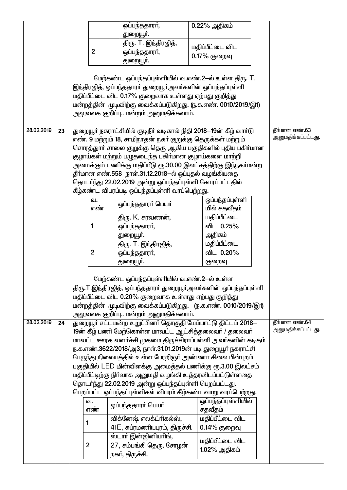|            |    |   |                  | ஒப்பந்ததாரா்,                                                                                                                | 0.22% அதிகம்        |                                      |
|------------|----|---|------------------|------------------------------------------------------------------------------------------------------------------------------|---------------------|--------------------------------------|
|            |    |   |                  | துறையூா்.                                                                                                                    |                     |                                      |
|            |    |   |                  | திரு. T. இந்திரஜித்,                                                                                                         | மதிப்பீட்டை விட     |                                      |
|            |    |   | $\overline{2}$   | ஒப்பந்ததாரா்,                                                                                                                | 0.17% குறைவு        |                                      |
|            |    |   |                  | துறையூா்.                                                                                                                    |                     |                                      |
|            |    |   |                  |                                                                                                                              |                     |                                      |
|            |    |   |                  | மேற்கண்ட ஒப்பந்தப்புள்ளியில் வ.எண்.2-ல் உள்ள திரு. T.                                                                        |                     |                                      |
|            |    |   |                  | இந்திரஜித், ஒப்பந்ததாரா் துறையூா்அவா்களின் ஒப்பந்தப்புள்ளி                                                                   |                     |                                      |
|            |    |   |                  | மதிப்பீட்டை விட 0.17% குறைவாக உள்ளது ஏற்பது குறித்து                                                                         |                     |                                      |
|            |    |   |                  | மன்றத்தின் முடிவிற்கு வைக்கப்படுகிறது. (ந.க.எண். 0010/2019/இ1)                                                               |                     |                                      |
|            |    |   |                  | அலுவலக குறிப்பு மன்றம் அனுமதிக்கலாம்.                                                                                        |                     |                                      |
|            |    |   |                  |                                                                                                                              |                     |                                      |
| 28.02.2019 | 23 |   |                  | துறையூா் நகராட்சியில் குடிநீா் வடிகால் நிதி 2018—19ன் கீழ் வாா்டு                                                            |                     | தீர்மான எண்.63<br>அனுமதிக்கப்பட்டது. |
|            |    |   |                  | எண். 9 மற்றும் 18, சாமிநாதன் நகர் குறுக்கு தெருக்கள் மற்றும்<br>சொரத்துாா் சாலை குறுக்கு தெரு ஆகிய பகுதிகளில் புதிய பகிா்மான |                     |                                      |
|            |    |   |                  | குழாய்கள் மற்றும் பழுதடைந்த பகிா்மான குழாய்களை மாற்றி                                                                        |                     |                                      |
|            |    |   |                  | அமைக்கும் பணிக்கு மதிப்பீடு ரூ.30.00 இலட்சத்திற்கு இந்நகா்மன்ற                                                               |                     |                                      |
|            |    |   |                  | தீா்மான எண்.558 நாள்.31.12.2018-ல் ஒப்புதல் வழங்கியதை                                                                        |                     |                                      |
|            |    |   |                  | தொடர்ந்து 22.02.2019 அன்று ஒப்பந்தப்புள்ளி கோரப்பட்டதில்                                                                     |                     |                                      |
|            |    |   |                  | கீழ்கண்ட விபரப்படி ஒப்பந்தப்புள்ளி வரப்பெற்றது.                                                                              |                     |                                      |
|            |    |   | வ.               |                                                                                                                              | ஒப்பந்தப்புள்ளி     |                                      |
|            |    |   | எண்              | ஒப்பந்ததாரர் பெயர்                                                                                                           | யில் சதவீதம்        |                                      |
|            |    |   |                  | திரு. K. சரவணன்,                                                                                                             | மதிப்பீட்டை         |                                      |
|            |    |   | 1                | ஒப்பந்ததாரா்,                                                                                                                | விட 0.25%           |                                      |
|            |    |   |                  | துறையூா்.                                                                                                                    | அதிகம்              |                                      |
|            |    |   |                  | திரு. T. இந்திரஜித்,                                                                                                         | மதிப்பீட்டை         |                                      |
|            |    |   | $\mathbf 2$      | ஒப்பந்ததாரா்,                                                                                                                | விட 0.20%           |                                      |
|            |    |   |                  | துறையூா்.                                                                                                                    | குறைவு              |                                      |
|            |    |   |                  |                                                                                                                              |                     |                                      |
|            |    |   |                  | மேற்கண்ட ஒப்பந்தப்புள்ளியில் வ.எண்.2-ல் உள்ள                                                                                 |                     |                                      |
|            |    |   |                  | திரு.T.இந்திரஜித், ஒப்பந்ததாரா் துறையூா்அவா்களின் ஒப்பந்தப்புள்ளி                                                            |                     |                                      |
|            |    |   |                  | மதிப்பீட்டை விட 0.20% குறைவாக உள்ளது ஏற்பது குறித்து                                                                         |                     |                                      |
|            |    |   |                  | மன்றத்தின் முடிவிற்கு வைக்கப்படுகிறது. (ந.க.எண். 0010/2019/இ1)                                                               |                     |                                      |
|            |    |   |                  | அலுவலக குறிப்பு மன்றம் அனுமதிக்கலாம்.                                                                                        |                     | தீர்மான எண்.64                       |
| 28.02.2019 | 24 |   |                  | துறையூர் சட்டமன்ற உறுப்பினர் தொகுதி மேம்பாட்டு திட்டம் 2018–<br>19ன் கீழ் பணி மேற்கொள்ள மாவட்ட ஆட்சித்தலைவர் / தலைவர்        |                     | அனுமதிக்கப்பட்டது.                   |
|            |    |   |                  | மாவட்ட ஊரக வளர்ச்சி முகமை திருச்சிராப்பள்ளி அவர்களின் கடிதம்                                                                 |                     |                                      |
|            |    |   |                  | ந.க.எண்.3622/2018/அ3, நாள்.31.01.2019ன் படி துறையூர் நகராட்சி                                                                |                     |                                      |
|            |    |   |                  | பேருந்து நிலையத்தில் உள்ள பேரறிஞா் அண்ணா சிலை பின்புறம்                                                                      |                     |                                      |
|            |    |   |                  | பகுதியில் LED மின்விளக்கு அமைத்தல் பணிக்கு ரூ.3.00 இலட்சம்                                                                   |                     |                                      |
|            |    |   |                  | மதிப்பீட்டிற்கு நிா்வாக அனுமதி வழங்கி உத்தரவிடப்பட்டுள்ளதை                                                                   |                     |                                      |
|            |    |   |                  | தொடர்ந்து 22.02.2019 அன்று ஒப்பந்தப்புள்ளி பெறப்பட்டது.                                                                      |                     |                                      |
|            |    |   |                  | பெறப்பட்ட ஒப்பந்தப்புள்ளிகள் விபரம் கீழ்கண்டவாறு வரப்பெற்றது.                                                                |                     |                                      |
|            |    |   | ഖ.               |                                                                                                                              | ஒப்பந்தப்புள்ளியில் |                                      |
|            |    |   | எண்              | ஒப்பந்ததாரா் பெயா்                                                                                                           | சதவீதம்             |                                      |
|            |    | 1 |                  | விக்னேஷ் எலக்ட்ரிகல்ஸ்,                                                                                                      | மதிப்பீட்டை விட     |                                      |
|            |    |   |                  | 41E, சுப்ரமணியபுரம், திருச்சி.                                                                                               | $0.14\%$ குறைவு     |                                      |
|            |    |   |                  | ஸ்டார் இன்ஜினியரிங்,                                                                                                         | மதிப்பீட்டை விட     |                                      |
|            |    |   | $\boldsymbol{2}$ | 27, சம்பங்கி தெரு, சோழன்                                                                                                     | 1.02% அதிகம்        |                                      |
|            |    |   |                  | நகர், திருச்சி.                                                                                                              |                     |                                      |
|            |    |   |                  |                                                                                                                              |                     |                                      |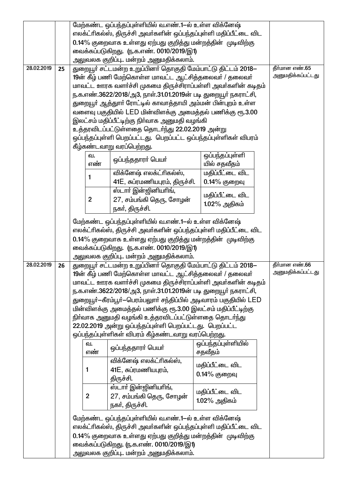|            |    |                | மேற்கண்ட ஒப்பந்தப்புள்ளியில் வ.எண்.1—ல் உள்ள விக்னேஷ்                                                                          |                                 |                                     |
|------------|----|----------------|--------------------------------------------------------------------------------------------------------------------------------|---------------------------------|-------------------------------------|
|            |    |                | எலக்ட்ரிகல்ஸ், திருச்சி அவா்களின் ஒப்பந்தப்புள்ளி மதிப்பீட்டை விட                                                              |                                 |                                     |
|            |    |                | 0.14% குறைவாக உள்ளது ஏற்பது குறித்து மன்றத்தின் முடிவிற்கு                                                                     |                                 |                                     |
|            |    |                | வைக்கப்படுகிறது. (ந.க.எண். 0010/2019/இ1)                                                                                       |                                 |                                     |
|            |    |                | அலுவலக குறிப்பு மன்றம் அனுமதிக்கலாம்.                                                                                          |                                 |                                     |
| 28.02.2019 | 25 |                | துறையூர் சட்டமன்ற உறுப்பினர் தொகுதி மேம்பாட்டு திட்டம் 2018–                                                                   |                                 | தீர்மான எண்.65                      |
|            |    |                | 19ன் கீழ் பணி மேற்கொள்ள மாவட்ட ஆட்சித்தலைவர் / தலைவர்                                                                          |                                 | அனுமதிக்கப்பட்டது                   |
|            |    |                | மாவட்ட ஊரக வளர்ச்சி முகமை திருச்சிராப்பள்ளி அவர்களின் கடிதம்                                                                   |                                 |                                     |
|            |    |                | ந.க.எண்.3622/2018/அ3, நாள்.31.01.2019ன் படி துறையூர் நகராட்சி,                                                                 |                                 |                                     |
|            |    |                | துறையூா் ஆத்துாா் ரோட்டில் காவாத்தாயி அம்மன் பின்புறம் உள்ள                                                                    |                                 |                                     |
|            |    |                | வளைவு பகுதியில் LED மின்விளக்கு அமைத்தல் பணிக்கு ரூ.3.00                                                                       |                                 |                                     |
|            |    |                | இலட்சம் மதிப்பீட்டிற்கு நிர்வாக அனுமதி வழங்கி                                                                                  |                                 |                                     |
|            |    |                | உத்தரவிடப்பட்டுள்ளதை தொடர்ந்து 22.02.2019 அன்று                                                                                |                                 |                                     |
|            |    |                | ஒப்பந்தப்புள்ளி பெறப்பட்டது. பெறப்பட்ட ஒப்பந்தப்புள்ளிகள் விபரம்                                                               |                                 |                                     |
|            |    |                | கீழ்கண்டவாறு வரப்பெற்றது.                                                                                                      |                                 |                                     |
|            |    | ഖ.             | ஒப்பந்ததாரா் பெயா்                                                                                                             | ஒப்பந்தப்புள்ளி                 |                                     |
|            |    | எண்            |                                                                                                                                | யில் சதவீதம்                    |                                     |
|            |    | 1              | விக்னேஷ் எலக்ட்ரிகல்ஸ்,                                                                                                        | மதிப்பீட்டை விட                 |                                     |
|            |    |                | 41E, சுப்ரமணியபுரம், திருச்சி.                                                                                                 | 0.14% குறைவு                    |                                     |
|            |    | $\overline{2}$ | ஸ்டார் இன்ஜினியரிங்,                                                                                                           | மதிப்பீட்டை விட                 |                                     |
|            |    |                | 27, சம்பங்கி தெரு, சோழன்                                                                                                       | 1.02% அதிகம்                    |                                     |
|            |    |                | நகர், திருச்சி.                                                                                                                |                                 |                                     |
|            |    |                | மேற்கண்ட ஒப்பந்தப்புள்ளியில் வ.எண்.1—ல் உள்ள விக்னேஷ்                                                                          |                                 |                                     |
|            |    |                | எலக்ட்ரிகல்ஸ், திருச்சி அவா்களின் ஒப்பந்தப்புள்ளி மதிப்பீட்டை விட                                                              |                                 |                                     |
|            |    |                | 0.14% குறைவாக உள்ளது ஏற்பது குறித்து மன்றத்தின் முடிவிற்கு                                                                     |                                 |                                     |
|            |    |                | வைக்கப்படுகிறது. (ந.க.எண். 0010/2019/இ1)                                                                                       |                                 |                                     |
|            |    |                | அலுவலக குறிப்பு மன்றம் அனுமதிக்கலாம்.                                                                                          |                                 |                                     |
| 28.02.2019 | 26 |                | துறையூர் சட்டமன்ற உறுப்பினர் தொகுதி மேம்பாட்டு திட்டம் 2018–                                                                   |                                 | தீர்மான எண்.66<br>அனுமதிக்கப்பட்டது |
|            |    |                | 19ன் கீழ் பணி மேற்கொள்ள மாவட்ட ஆட்சித்தலைவர் / தலைவர்                                                                          |                                 |                                     |
|            |    |                | மாவட்ட ஊரக வளர்ச்சி முகமை திருச்சிராப்பள்ளி அவர்களின் கடிதம்<br>ந.க.எண்.3622/2018/அ3, நாள்.31.01.2019ன் படி துறையூர் நகராட்சி, |                                 |                                     |
|            |    |                | துறையூா்—கீரம்பூா்—பெரம்பலுாா் சந்திப்பில் அடிவாரம் பகுதியில் LED                                                              |                                 |                                     |
|            |    |                | மின்விளக்கு அமைத்தல் பணிக்கு ரூ.3.00 இலட்சம் மதிப்பீட்டிற்கு                                                                   |                                 |                                     |
|            |    |                | நிா்வாக அனுமதி வழங்கி உத்தரவிடப்பட்டுள்ளதை தொடா்ந்து                                                                           |                                 |                                     |
|            |    |                | 22.02.2019 அன்று ஒப்பந்தப்புள்ளி பெறப்பட்டது. பெறப்பட்ட                                                                        |                                 |                                     |
|            |    |                | ஒப்பந்தப்புள்ளிகள் விபரம் கீழ்கண்டவாறு வரப்பெற்றது.                                                                            |                                 |                                     |
|            |    | ഖ.             |                                                                                                                                | ஒப்பந்தப்புள்ளியில்             |                                     |
|            |    | எண்            | ஒப்பந்ததாரா் பெயா்                                                                                                             | சதவீதம்                         |                                     |
|            |    |                | விக்னேஷ் எலக்ட்ரிகல்ஸ்,                                                                                                        |                                 |                                     |
|            |    | $\mathbf{1}$   | 41E, சுப்ரமணியபுரம்,                                                                                                           | மதிப்பீட்டை விட<br>0.14% குறைவு |                                     |
|            |    |                | திருச்சி.                                                                                                                      |                                 |                                     |
|            |    |                | ஸ்டார் இன்ஜினியரிங்,                                                                                                           | மதிப்பீட்டை விட                 |                                     |
|            |    | $\mathbf{2}$   | 27, சம்பங்கி தெரு, சோழன்                                                                                                       | 1.02% அதிகம்                    |                                     |
|            |    |                |                                                                                                                                |                                 |                                     |
|            |    |                | நகா், திருச்சி.                                                                                                                |                                 |                                     |
|            |    |                |                                                                                                                                |                                 |                                     |
|            |    |                | மேற்கண்ட ஒப்பந்தப்புள்ளியில் வ.எண்.1—ல் உள்ள விக்னேஷ்                                                                          |                                 |                                     |
|            |    |                | எலக்ட்ரிகல்ஸ், திருச்சி அவா்களின் ஒப்பந்தப்புள்ளி மதிப்பீட்டை விட                                                              |                                 |                                     |
|            |    |                | 0.14% குறைவாக உள்ளது ஏற்பது குறித்து மன்றத்தின் முடிவிற்கு<br>வைக்கப்படுகிறது. (ந.க.எண். 0010/2019/இ1)                         |                                 |                                     |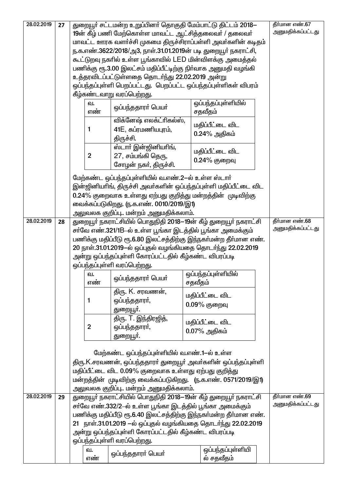| 28.02.2019 | 27 |                | துறையூா் சட்டமன்ற உறுப்பினா் தொகுதி மேம்பாட்டு திட்டம் 2018—     |                                 | தீர்மான எண்.67    |
|------------|----|----------------|------------------------------------------------------------------|---------------------------------|-------------------|
|            |    |                | 19ன் கீழ் பணி மேற்கொள்ள மாவட்ட ஆட்சித்தலைவர் / தலைவர்            |                                 | அனுமதிக்கப்பட்டது |
|            |    |                | மாவட்ட ஊரக வளர்ச்சி முகமை திருச்சிராப்பள்ளி அவர்களின் கடிதம்     |                                 |                   |
|            |    |                | ந.க.எண்.3622/2018/அ3, நாள்.31.01.2019ன் படி துறையூர் நகராட்சி,   |                                 |                   |
|            |    |                |                                                                  |                                 |                   |
|            |    |                | கூட்டுறவு நகரில் உள்ள பூங்காவில் LED மின்விளக்கு அமைத்தல்        |                                 |                   |
|            |    |                | பணிக்கு ரூ.3.00 இலட்சம் மதிப்பீட்டிற்கு நிா்வாக அனுமதி வழங்கி    |                                 |                   |
|            |    |                | உத்தரவிடப்பட்டுள்ளதை தொடர்ந்து 22.02.2019 அன்று                  |                                 |                   |
|            |    |                | ஒப்பந்தப்புள்ளி பெறப்பட்டது. பெறப்பட்ட ஒப்பந்தப்புள்ளிகள் விபரம் |                                 |                   |
|            |    |                | கீழ்கண்டவாறு வரப்பெற்றது.                                        |                                 |                   |
|            |    | வ.             |                                                                  | ஒப்பந்தப்புள்ளியில்             |                   |
|            |    | எண்            | ஒப்பந்ததாரா் பெயா்                                               | சதவீதம்                         |                   |
|            |    |                | விக்னேஷ் எலக்ட்ரிகல்ஸ்,                                          |                                 |                   |
|            |    | 1              | 41E, சுப்ரமணியபுரம்,                                             | மதிப்பீட்டை விட                 |                   |
|            |    |                |                                                                  | $0.24\%$ அதிகம்                 |                   |
|            |    |                | திருச்சி.                                                        |                                 |                   |
|            |    |                | ஸ்டாா் இன்ஜினியாிங்,                                             | மதிப்பீட்டை விட                 |                   |
|            |    | $\overline{2}$ | 27, சம்பங்கி தெரு,                                               | 0.24% குறைவு                    |                   |
|            |    |                | சோழன் நகர், திருச்சி.                                            |                                 |                   |
|            |    |                |                                                                  |                                 |                   |
|            |    |                | மேற்கண்ட ஒப்பந்தப்புள்ளியில் வ.எண்.2-ல் உள்ள ஸ்டார்              |                                 |                   |
|            |    |                | இன்ஜினியரிங், திருச்சி அவர்களின் ஒப்பந்தப்புள்ளி மதிப்பீட்டை விட |                                 |                   |
|            |    |                | 0.24% குறைவாக உள்ளது ஏற்பது குறித்து மன்றத்தின் முடிவிற்கு       |                                 |                   |
|            |    |                | வைக்கப்படுகிறது. (ந.க.எண். 0010/2019/இ1)                         |                                 |                   |
|            |    |                | அலுவலக குறிப்பு மன்றம் அனுமதிக்கலாம்.                            |                                 |                   |
| 28.02.2019 | 28 |                | துறையூர் நகராட்சியில் பொதுநிதி 2018—19ன் கீழ் துறையூர் நகராட்சி  |                                 | தீர்மான எண்.68    |
|            |    |                | சா்வே எண்.321/1B–ல் உள்ள பூங்கா இடத்தில் பூங்கா அமைக்கும்        |                                 | அனுமதிக்கப்பட்டது |
|            |    |                | பணிக்கு மதிப்பீடு ரூ.6.80 இலட்சத்திற்கு இந்நகா்மன்ற தீா்மான எண். |                                 |                   |
|            |    |                | 20 நாள்.31.01.2019-ல் ஒப்புதல் வழங்கியதை தொடர்ந்து 22.02.2019    |                                 |                   |
|            |    |                |                                                                  |                                 |                   |
|            |    |                |                                                                  |                                 |                   |
|            |    |                | அன்று ஒப்பந்தப்புள்ளி கோரப்பட்டதில் கீழ்கண்ட விபரப்படி           |                                 |                   |
|            |    |                | ஒப்பந்தப்புள்ளி வரப்பெற்றது.                                     |                                 |                   |
|            |    | வ.             |                                                                  | ஒப்பந்தப்புள்ளியில்             |                   |
|            |    | எண             | ஒப்பந்ததாரா் பெயா்                                               | சதவீதம்                         |                   |
|            |    |                | திரு. K. சரவணன்,                                                 |                                 |                   |
|            |    | 1              | ஒப்பந்ததாரா்,                                                    | மதிப்பீட்டை விட                 |                   |
|            |    |                | துறையூா்.                                                        | $0.09%$ குறைவு                  |                   |
|            |    |                |                                                                  |                                 |                   |
|            |    | $\overline{2}$ | திரு. T. இந்திரஜித்,                                             | மதிப்பீட்டை விட                 |                   |
|            |    |                | ஒப்பந்ததாரா்,                                                    | $0.07\%$ அதிகம்                 |                   |
|            |    |                | துறையூா்.                                                        |                                 |                   |
|            |    |                |                                                                  |                                 |                   |
|            |    |                | மேற்கண்ட ஒப்பந்தப்புள்ளியில் வ.எண்.1-ல் உள்ள                     |                                 |                   |
|            |    |                | திரு.K.சரவணன், ஒப்பந்ததாரா் துறையூா் அவா்களின் ஒப்பந்தப்புள்ளி   |                                 |                   |
|            |    |                | மதிப்பீட்டை விட 0.09% குறைவாக உள்ளது ஏற்பது குறித்து             |                                 |                   |
|            |    |                | மன்றத்தின் முடிவிற்கு வைக்கப்படுகிறது. (ந.க.எண். 0571/2019/இ1)   |                                 |                   |
|            |    |                | அலுவலக குறிப்பு மன்றம் அனுமதிக்கலாம்.                            |                                 |                   |
| 28.02.2019 | 29 |                | துறையூா் நகராட்சியில் பொதுநிதி 2018—19ன் கீழ் துறையூா் நகராட்சி  |                                 | தீர்மான எண்.69    |
|            |    |                |                                                                  |                                 | அனுமதிக்கப்பட்டது |
|            |    |                | சா்வே எண்.332/2-ல் உள்ள பூங்கா இடத்தில் பூங்கா அமைக்கும்         |                                 |                   |
|            |    |                | பணிக்கு மதிப்பீடு ரூ.6.40 இலட்சத்திற்கு இந்நகா்மன்ற தீா்மான எண். |                                 |                   |
|            |    |                | 21 நாள்.31.01.2019 —ல் ஒப்புதல் வழங்கியதை தொடர்ந்து 22.02.2019   |                                 |                   |
|            |    |                | அன்று ஒப்பந்தப்புள்ளி கோரப்பட்டதில் கீழ்கண்ட விபரப்படி           |                                 |                   |
|            |    |                | ஒப்பந்தப்புள்ளி வரப்பெற்றது.                                     |                                 |                   |
|            |    | வ.<br>எண்      | ஒப்பந்ததாரா் பெயா்                                               | ஒப்பந்தப்புள்ளியி<br>ல் சதவீதம் |                   |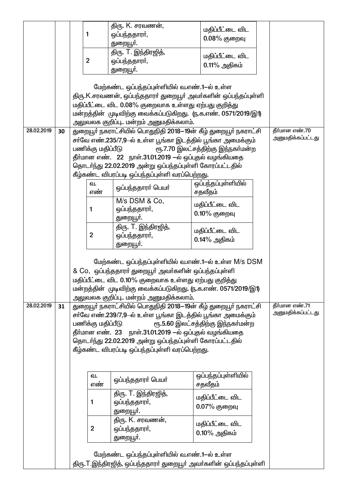|            |    |                   | திரு. K. சரவணன்,                                                                                                                                                                                                                                                                 | மதிப்பீட்டை விட                    |                                     |
|------------|----|-------------------|----------------------------------------------------------------------------------------------------------------------------------------------------------------------------------------------------------------------------------------------------------------------------------|------------------------------------|-------------------------------------|
|            |    | 1                 | ஒப்பந்ததாரா்,                                                                                                                                                                                                                                                                    | $0.08%$ குறைவு                     |                                     |
|            |    |                   | துறையூா்.                                                                                                                                                                                                                                                                        |                                    |                                     |
|            |    |                   | திரு. T. இந்திரஜித்,                                                                                                                                                                                                                                                             | மதிப்பீட்டை விட                    |                                     |
|            |    | $\overline{2}$    | ஒப்பந்ததாரா்,                                                                                                                                                                                                                                                                    | $0.11\%$ அதிகம்                    |                                     |
|            |    |                   | துறையூா்.                                                                                                                                                                                                                                                                        |                                    |                                     |
|            |    |                   | மேற்கண்ட ஒப்பந்தப்புள்ளியில் வ.எண்.1-ல் உள்ள                                                                                                                                                                                                                                     |                                    |                                     |
|            |    |                   | திரு.K.சரவணன், ஒப்பந்ததாரா் துறையூா் அவா்களின் ஒப்பந்தப்புள்ளி                                                                                                                                                                                                                   |                                    |                                     |
|            |    |                   | மதிப்பீட்டை விட 0.08% குறைவாக உள்ளது ஏற்பது குறித்து                                                                                                                                                                                                                             |                                    |                                     |
|            |    |                   | மன்றத்தின் முடிவிற்கு வைக்கப்படுகிறது. (ந.க.எண். 0571/2019/இ1)                                                                                                                                                                                                                   |                                    |                                     |
|            |    |                   | அலுவலக குறிப்பு மன்றம் அனுமதிக்கலாம்.                                                                                                                                                                                                                                            |                                    |                                     |
| 28.02.2019 | 30 |                   | துறையூா் நகராட்சியில் பொதுநிதி 2018—19ன் கீழ் துறையூா் நகராட்சி                                                                                                                                                                                                                  |                                    | தீர்மான எண்.70<br>அனுமதிக்கப்பட்டது |
|            |    |                   | சா்வே எண்.235/7,9-ல் உள்ள பூங்கா இடத்தில் பூங்கா அமைக்கும்                                                                                                                                                                                                                       |                                    |                                     |
|            |    | பணிக்கு மதிப்பீடு |                                                                                                                                                                                                                                                                                  | ரூ.7.70 இலட்சத்திற்கு இந்நகா்மன்ற  |                                     |
|            |    |                   | தீா்மான எண். 22 நாள்.31.01.2019 —ல் ஒப்புதல் வழங்கியதை                                                                                                                                                                                                                           |                                    |                                     |
|            |    |                   | தொடா்ந்து 22.02.2019 அன்று ஒப்பந்தப்புள்ளி கோரப்பட்டதில்<br>கீழ்கண்ட விபரப்படி ஒப்பந்தப்புள்ளி வரப்பெற்றது.                                                                                                                                                                      |                                    |                                     |
|            |    | வ.                |                                                                                                                                                                                                                                                                                  | ஒப்பந்தப்புள்ளியில்                |                                     |
|            |    | எண்               | ஒப்பந்ததாரா் பெயா்                                                                                                                                                                                                                                                               | சதவீதம்                            |                                     |
|            |    |                   | M/s DSM & Co,                                                                                                                                                                                                                                                                    | மதிப்பீட்டை விட                    |                                     |
|            |    | 1                 | ஒப்பந்ததாரா்,                                                                                                                                                                                                                                                                    | $0.10\%$ குறைவு                    |                                     |
|            |    |                   | துறையூா்.                                                                                                                                                                                                                                                                        |                                    |                                     |
|            |    |                   | திரு. T. இந்திரஜித்,                                                                                                                                                                                                                                                             | மதிப்பீட்டை விட                    |                                     |
|            |    | $\overline{2}$    | ஒப்பந்ததாரா்,                                                                                                                                                                                                                                                                    | 0.14% அதிகம்                       |                                     |
|            |    |                   | துறையூா்.                                                                                                                                                                                                                                                                        |                                    |                                     |
|            |    |                   | மேற்கண்ட ஒப்பந்தப்புள்ளியில் வ.எண்.1-ல் உள்ள M/s DSM<br>& Co, ஒப்பந்ததாரா் துறையூா் அவா்களின் ஒப்பந்தப்புள்ளி<br>மதிப்பீட்டை விட 0.10% குறைவாக உள்ளது ஏற்பது குறித்து<br>மன்றத்தின் முடிவிற்கு வைக்கப்படுகிறது. (ந.க.எண். 0571/2019/இ1)<br>அலுவலக குறிப்பு மன்றம் அனுமதிக்கலாம். |                                    |                                     |
| 28.02.2019 | 31 |                   | துறையூா் நகராட்சியில் பொதுநிதி 2018—19ன் கீழ் துறையூா் நகராட்சி                                                                                                                                                                                                                  |                                    | தீர்மான எண்.71                      |
|            |    | பணிக்கு மதிப்பீடு | சா்வே எண்.239/7,9-ல் உள்ள பூங்கா இடத்தில் பூங்கா அமைக்கும்<br>தீா்மான எண்.  23    நாள்.31.01.2019 —ல் ஒப்புதல் வழங்கியதை<br>தொடர்ந்து 22.02.2019 அன்று ஒப்பந்தப்புள்ளி கோரப்பட்டதில்<br>கீழ்கண்ட விபரப்படி ஒப்பந்தப்புள்ளி வரப்பெற்றது.                                          | ரூ.5.60 இலட்சத்திற்கு இந்நகா்மன்ற  | அனுமதிக்கப்பட்டது                   |
|            |    | வ.<br>எண்         | ஒப்பந்ததாரா் பெயா்                                                                                                                                                                                                                                                               | ஒப்பந்தப்புள்ளியில்<br>சதவீதம்     |                                     |
|            |    | 1                 | திரு. T. இந்திரஜித்,<br>ஒப்பந்ததாரா்,<br>துறையூா்.                                                                                                                                                                                                                               | மதிப்பீட்டை விட<br>0.07% குறைவு    |                                     |
|            |    | $\overline{2}$    | திரு. K. சரவணன்,<br>ஒப்பந்ததாரா்,<br>துறையூா்.                                                                                                                                                                                                                                   | மதிப்பீட்டை விட<br>$0.10\%$ அதிகம் |                                     |
|            |    |                   | மேற்கண்ட ஒப்பந்தப்புள்ளியில் வ.எண்.1-ல் உள்ள<br>திரு. T.இந்திரஜித், ஒப்பந்ததாரா் துறையூா் அவா்களின் ஒப்பந்தப்புள்ளி                                                                                                                                                              |                                    |                                     |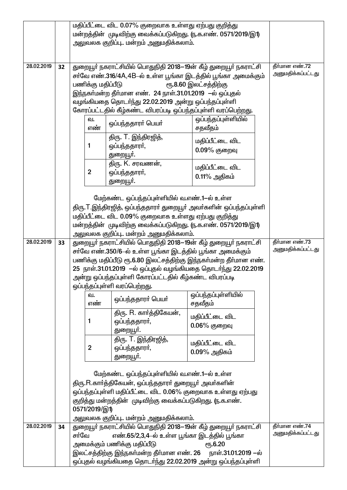|            |    | மதிப்பீட்டை விட 0.07% குறைவாக உள்ளது ஏற்பது குறித்து            |                                                                                                                          |                                                                    |                   |
|------------|----|-----------------------------------------------------------------|--------------------------------------------------------------------------------------------------------------------------|--------------------------------------------------------------------|-------------------|
|            |    | மன்றத்தின் முடிவிற்கு வைக்கப்படுகிறது. (ந.க.எண். 0571/2019/இ1)  |                                                                                                                          |                                                                    |                   |
|            |    |                                                                 | அலுவலக குறிப்பு மன்றம் அனுமதிக்கலாம்.                                                                                    |                                                                    |                   |
|            |    |                                                                 |                                                                                                                          |                                                                    |                   |
| 28.02.2019 | 32 |                                                                 | துறையூா் நகராட்சியில் பொதுநிதி 2018—19ன் கீழ் துறையூா் நகராட்சி                                                          |                                                                    | தீர்மான எண்.72    |
|            |    |                                                                 |                                                                                                                          | சா்வே எண்.316/4A,4B–ல் உள்ள பூங்கா இடத்தில் பூங்கா அமைக்கும்       | அனுமதிக்கப்பட்டது |
|            |    | பணிக்கு மதிப்பீடு                                               |                                                                                                                          | ரூ.8.60 இலட்சத்திற்கு                                              |                   |
|            |    |                                                                 | இந்நகா்மன்ற தீா்மான எண். 24 நாள்.31.01.2019 —ல் ஒப்புதல்                                                                 |                                                                    |                   |
|            |    |                                                                 | வழங்கியதை தொடர்ந்து 22.02.2019 அன்று ஒப்பந்தப்புள்ளி                                                                     |                                                                    |                   |
|            |    |                                                                 | கோரப்பட்டதில் கீழ்கண்ட விபரப்படி ஒப்பந்தப்புள்ளி வரப்பெற்றது.                                                            |                                                                    |                   |
|            |    | வ.<br>எண்                                                       | ஒப்பந்ததாரா் பெயா்                                                                                                       | ஒப்பந்தப்புள்ளியில்<br>சதவீதம்                                     |                   |
|            |    |                                                                 | திரு. T. இந்திரஜித்,                                                                                                     | மதிப்பீட்டை விட                                                    |                   |
|            |    | 1                                                               | ஒப்பந்ததாரா்,                                                                                                            | $0.09%$ குறைவு                                                     |                   |
|            |    |                                                                 | துறையூா்.                                                                                                                |                                                                    |                   |
|            |    | $\overline{2}$                                                  | திரு. K. சரவணன்,<br>ஒப்பந்ததாரா்,                                                                                        | மதிப்பீட்டை விட                                                    |                   |
|            |    |                                                                 | துறையூா்.                                                                                                                | $0.11\%$ அதிகம்                                                    |                   |
|            |    |                                                                 |                                                                                                                          |                                                                    |                   |
|            |    |                                                                 | மேற்கண்ட ஒப்பந்தப்புள்ளியில் வ.எண்.1-ல் உள்ள                                                                             |                                                                    |                   |
|            |    |                                                                 |                                                                                                                          | திரு.T.இந்திரஜித், ஒப்பந்ததாரா் துறையூா் அவா்களின் ஒப்பந்தப்புள்ளி |                   |
|            |    |                                                                 | மதிப்பீட்டை விட 0.09% குறைவாக உள்ளது ஏற்பது குறித்து                                                                     |                                                                    |                   |
|            |    |                                                                 | மன்றத்தின் முடிவிற்கு வைக்கப்படுகிறது. (ந.க.எண். 0571/2019/இ1)                                                           |                                                                    |                   |
|            |    |                                                                 | அலுவலக குறிப்பு மன்றம் அனுமதிக்கலாம்.                                                                                    |                                                                    |                   |
| 28.02.2019 | 33 | துறையூா் நகராட்சியில் பொதுநிதி 2018—19ன் கீழ் துறையூா் நகராட்சி | தீர்மான எண்.73<br>அனுமதிக்கப்பட்டது                                                                                      |                                                                    |                   |
|            |    |                                                                 | சா்வே எண்.350/6-ல் உள்ள பூங்கா இடத்தில் பூங்கா அமைக்கும்                                                                 |                                                                    |                   |
|            |    |                                                                 | 25 நாள்.31.01.2019 —ல் ஒப்புதல் வழங்கியதை தொடர்ந்து 22.02.2019                                                           | பணிக்கு மதிப்பீடு ரூ.6.80 இலட்சத்திற்கு இந்நகா்மன்ற தீா்மான எண்.   |                   |
|            |    |                                                                 | அன்று ஒப்பந்தப்புள்ளி கோரப்பட்டதில் கீழ்கண்ட விபரப்படி                                                                   |                                                                    |                   |
|            |    |                                                                 | ஒப்பந்தப்புள்ளி வரப்பெற்றது.                                                                                             |                                                                    |                   |
|            |    | வ.                                                              | ஒப்பந்ததாரா் பெயா்                                                                                                       | ஒப்பந்தப்புள்ளியில்                                                |                   |
|            |    | எண்                                                             |                                                                                                                          | சதவீதம்                                                            |                   |
|            |    |                                                                 | திரு. R. கார்த்திகேயன்,                                                                                                  | மதிப்பீட்டை விட                                                    |                   |
|            |    | 1                                                               | ஒப்பந்ததாரா்,                                                                                                            | $0.06\%$ குறைவு                                                    |                   |
|            |    |                                                                 | துறையூா்.<br>திரு. T. இந்திரஜித்,                                                                                        |                                                                    |                   |
|            |    | $\boldsymbol{2}$                                                | ஒப்பந்ததாரா்,                                                                                                            | மதிப்பீட்டை விட                                                    |                   |
|            |    |                                                                 | துறையூா்.                                                                                                                | $0.09\%$ அதிகம்                                                    |                   |
|            |    |                                                                 |                                                                                                                          |                                                                    |                   |
|            |    |                                                                 | மேற்கண்ட ஒப்பந்தப்புள்ளியில் வ.எண்.1-ல் உள்ள                                                                             |                                                                    |                   |
|            |    |                                                                 | திரு.R.காா்த்திகேயன், ஒப்பந்ததாரா் துறையூா் அவா்களின்                                                                    |                                                                    |                   |
|            |    |                                                                 | ஒப்பந்தப்புள்ளி மதிப்பீட்டை விட 0.06% குறைவாக உள்ளது ஏற்பது<br>குறித்து மன்றத்தின் முடிவிற்கு வைக்கப்படுகிறது. (ந.க.எண். |                                                                    |                   |
|            |    | 0571/2019/இ1)                                                   |                                                                                                                          |                                                                    |                   |
|            |    |                                                                 | அலுவலக குறிப்பு மன்றம் அனுமதிக்கலாம்.                                                                                    |                                                                    |                   |
| 28.02.2019 | 34 |                                                                 | துறையூா் நகராட்சியில் பொதுநிதி 2018—19ன் கீழ் துறையூா் நகராட்சி                                                          |                                                                    | தீர்மான எண்.74    |
|            |    | சா்வே                                                           | எண்.65/2,3,4-ல் உள்ள பூங்கா இடத்தில் பூங்கா                                                                              |                                                                    | அனுமதிக்கப்பட்டது |
|            |    |                                                                 | அமைக்கும் பணிக்கு மதிப்பீடு                                                                                              | <b>РЂ.6.20</b>                                                     |                   |
|            |    |                                                                 | இலட்சத்திற்கு இந்நகா்மன்ற தீா்மான எண். 26 நாள்.31.01.2019 —ல்                                                            |                                                                    |                   |
|            |    |                                                                 | ஒப்புதல் வழங்கியதை தொடர்ந்து 22.02.2019 அன்று ஒப்பந்தப்புள்ளி                                                            |                                                                    |                   |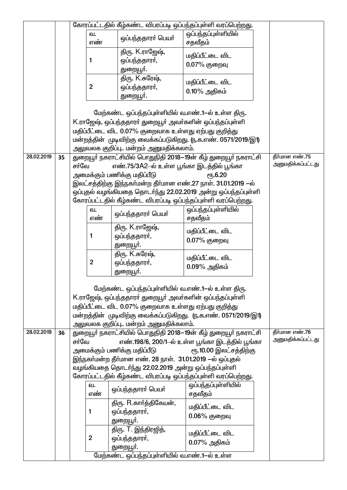|            |    |       |                |                                                                                                                 | கோரப்பட்டதில் கீழ்கண்ட விபரப்படி ஒப்பந்தப்புள்ளி வரப்பெற்றது.                                                                  |                                     |
|------------|----|-------|----------------|-----------------------------------------------------------------------------------------------------------------|--------------------------------------------------------------------------------------------------------------------------------|-------------------------------------|
|            |    |       | ഖ.<br>எண்      | ஒப்பந்ததாரா் பெயா்                                                                                              | ஒப்பந்தப்புள்ளியில்<br>சதவீதம்                                                                                                 |                                     |
|            |    |       | 1              | திரு. K.ராஜேஷ்,<br>ஒப்பந்ததாரா்,                                                                                | மதிப்பீட்டை விட<br>0.07% குறைவு                                                                                                |                                     |
|            |    |       |                | துறையூா்.                                                                                                       |                                                                                                                                |                                     |
|            |    |       | $\overline{2}$ | திரு. K.சுரேஷ்,                                                                                                 | மதிப்பீட்டை விட                                                                                                                |                                     |
|            |    |       |                | ஒப்பந்ததாரா்,<br>துறையூா்.                                                                                      | $0.10\%$ அதிகம்                                                                                                                |                                     |
|            |    |       |                |                                                                                                                 |                                                                                                                                |                                     |
|            |    |       |                | மேற்கண்ட ஒப்பந்தப்புள்ளியில் வ.எண்.1—ல் உள்ள திரு.                                                              |                                                                                                                                |                                     |
|            |    |       |                | K.ராஜேஷ், ஒப்பந்ததாரா் துறையூா் அவா்களின் ஒப்பந்தப்புள்ளி                                                       |                                                                                                                                |                                     |
|            |    |       |                | மதிப்பீட்டை விட 0.07% குறைவாக உள்ளது ஏற்பது குறித்து                                                            |                                                                                                                                |                                     |
|            |    |       |                | அலுவலக குறிப்பு மன்றம் அனுமதிக்கலாம்.                                                                           | மன்றத்தின் முடிவிற்கு வைக்கப்படுகிறது. ரு.க.எண். 0571/2019/இ1)                                                                 |                                     |
| 28.02.2019 | 35 |       |                |                                                                                                                 | துறையூா் நகராட்சியில் பொதுநிதி 2018—19ன் கீழ் துறையூா் நகராட்சி                                                                | தீர்மான எண்.75                      |
|            |    | சா்வே |                | எண்.75/3A2–ல் உள்ள பூங்கா இடத்தில் பூங்கா                                                                       |                                                                                                                                | அனுமதிக்கப்பட்டது                   |
|            |    |       |                | அமைக்கும் பணிக்கு மதிப்பீடு                                                                                     | ரு.6.20                                                                                                                        |                                     |
|            |    |       |                |                                                                                                                 | இலட்சத்திற்கு இந்நகா்மன்ற தீா்மான எண்.27 நாள். 31.01.2019 —ல்                                                                  |                                     |
|            |    |       |                |                                                                                                                 | ஒப்புதல் வழங்கியதை தொடர்ந்து 22.02.2019 அன்று ஒப்பந்தப்புள்ளி<br>கோரப்பட்டதில் கீழ்கண்ட விபரப்படி ஒப்பந்தப்புள்ளி வரப்பெற்றது. |                                     |
|            |    |       | ഖ.             |                                                                                                                 | ஒப்பந்தப்புள்ளியில்                                                                                                            |                                     |
|            |    |       | எண்            | ஒப்பந்ததாரா் பெயா்                                                                                              | சதவீதம்                                                                                                                        |                                     |
|            |    |       |                | திரு. K.ராஜேஷ்,                                                                                                 | மதிப்பீட்டை விட                                                                                                                |                                     |
|            |    |       | 1              | ஒப்பந்ததாரா்,                                                                                                   | 0.07% குறைவு                                                                                                                   |                                     |
|            |    |       |                | துறையூா்.<br>திரு. K.சுரேஷ்,                                                                                    |                                                                                                                                |                                     |
|            |    |       | $\overline{2}$ | ஒப்பந்ததாரா்,                                                                                                   | மதிப்பீட்டை விட                                                                                                                |                                     |
|            |    |       |                | துறையூா்.                                                                                                       | $0.09\%$ அதிகம்                                                                                                                |                                     |
|            |    |       |                |                                                                                                                 |                                                                                                                                |                                     |
|            |    |       |                | மேற்கண்ட ஒப்பந்தப்புள்ளியில் வ.எண்.1-ல் உள்ள திரு.<br>K.ராஜேஷ், ஒப்பந்ததாரா் துறையூா் அவா்களின் ஒப்பந்தப்புள்ளி |                                                                                                                                |                                     |
|            |    |       |                | மதிப்பீட்டை விட 0.07% குறைவாக உள்ளது ஏற்பது குறித்து                                                            |                                                                                                                                |                                     |
|            |    |       |                |                                                                                                                 | மன்றத்தின் முடிவிற்கு வைக்கப்படுகிறது. (ந.க.எண். 0571/2019/இ1)                                                                 |                                     |
|            |    |       |                | அலுவலக குறிப்பு மன்றம் அனுமதிக்கலாம்.                                                                           |                                                                                                                                |                                     |
| 28.02.2019 | 36 |       |                |                                                                                                                 | துறையூா் நகராட்சியில் பொதுநிதி 2018—19ன் கீழ் துறையூா் நகராட்சி                                                                | தீர்மான எண்.76<br>அனுமதிக்கப்பட்டது |
|            |    | சர்வே |                | அமைக்கும் பணிக்கு மதிப்பீடு                                                                                     | எண்.198/6, 200/1-ல் உள்ள பூங்கா இடத்தில் பூங்கா<br>ரூ.10.00 இலட்சத்திற்கு                                                      |                                     |
|            |    |       |                | இந்நகா்மன்ற தீா்மான எண். 28 நாள். 31.01.2019 —ல் ஒப்புதல்                                                       |                                                                                                                                |                                     |
|            |    |       |                | வழங்கியதை தொடர்ந்து 22.02.2019 அன்று ஒப்பந்தப்புள்ளி                                                            |                                                                                                                                |                                     |
|            |    |       |                |                                                                                                                 | கோரப்பட்டதில் கீழ்கண்ட விபரப்படி ஒப்பந்தப்புள்ளி வரப்பெற்றது.                                                                  |                                     |
|            |    |       | ഖ.<br>எண்      | ஒப்பந்ததாரா் பெயா்                                                                                              | ஒப்பந்தப்புள்ளியில்<br>சதவீதம்                                                                                                 |                                     |
|            |    |       |                | திரு. R.கார்த்திகேயன்,                                                                                          | மதிப்பீட்டை விட                                                                                                                |                                     |
|            |    |       | 1              | ஒப்பந்ததாரா்,                                                                                                   | $0.06%$ குறைவு                                                                                                                 |                                     |
|            |    |       |                | துறையூா்.<br>திரு. T. இந்திரஜித்,                                                                               |                                                                                                                                |                                     |
|            |    |       | $\overline{2}$ | ஒப்பந்ததாரா்,                                                                                                   | மதிப்பீட்டை விட                                                                                                                |                                     |
|            |    |       |                | துறையூா்.                                                                                                       | $0.07\%$ அதிகம்                                                                                                                |                                     |
|            |    |       |                | மேற்கண்ட ஒப்பந்தப்புள்ளியில் வ.எண்.1-ல் உள்ள                                                                    |                                                                                                                                |                                     |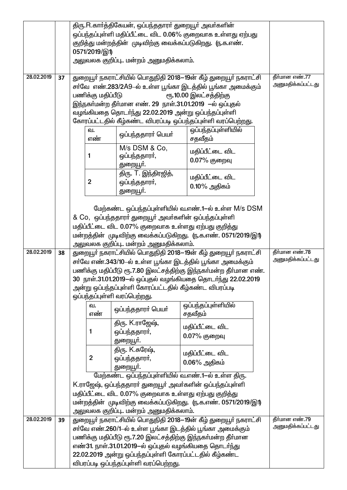|            |    |                                                                            |                                                             | திரு.R.காா்த்திகேயன், ஒப்பந்ததாரா் துறையூா் அவா்களின்                                                                         |                                   |  |                   |
|------------|----|----------------------------------------------------------------------------|-------------------------------------------------------------|-------------------------------------------------------------------------------------------------------------------------------|-----------------------------------|--|-------------------|
|            |    |                                                                            | ஒப்பந்தப்புள்ளி மதிப்பீட்டை விட 0.06% குறைவாக உள்ளது ஏற்பது |                                                                                                                               |                                   |  |                   |
|            |    | குறித்து மன்றத்தின் முடிவிற்கு வைக்கப்படுகிறது. (ந.க.எண்.<br>0571/2019/இ1) |                                                             |                                                                                                                               |                                   |  |                   |
|            |    | அலுவலக குறிப்பு மன்றம் அனுமதிக்கலாம்.                                      |                                                             |                                                                                                                               |                                   |  |                   |
| 28.02.2019 | 37 |                                                                            |                                                             |                                                                                                                               |                                   |  | தீர்மான எண்.77    |
|            |    |                                                                            |                                                             | துறையூர் நகராட்சியில் பொதுநிதி 2018-19ன் கீழ் துறையூர் நகராட்சி<br>சா்வே எண்.283/2A9–ல் உள்ள பூங்கா இடத்தில் பூங்கா அமைக்கும் |                                   |  | அனுமதிக்கப்பட்டது |
|            |    |                                                                            | பணிக்கு மதிப்பீடு                                           |                                                                                                                               | ரூ.10.00 இலட்சத்திற்கு            |  |                   |
|            |    |                                                                            |                                                             | இந்நகா்மன்ற தீா்மான எண். 29 நாள்.31.01.2019 —ல் ஒப்புதல்                                                                      |                                   |  |                   |
|            |    |                                                                            |                                                             | வழங்கியதை தொடர்ந்து 22.02.2019 அன்று ஒப்பந்தப்புள்ளி                                                                          |                                   |  |                   |
|            |    |                                                                            |                                                             | கோரப்பட்டதில் கீழ்கண்ட விபரப்படி ஒப்பந்தப்புள்ளி வரப்பெற்றது.                                                                 |                                   |  |                   |
|            |    |                                                                            | வ.<br>எண்                                                   | ஒப்பந்ததாரா் பெயா்                                                                                                            | ஒப்பந்தப்புள்ளியில்<br>சதவீதம்    |  |                   |
|            |    |                                                                            | 1                                                           | M/s DSM & Co,<br>ஒப்பந்ததாரா்,<br>துறையூா்.                                                                                   | மதிப்பீட்டை விட<br>$0.07%$ குறைவு |  |                   |
|            |    |                                                                            |                                                             | திரு. T. இந்திரஜித்,                                                                                                          |                                   |  |                   |
|            |    |                                                                            | $\overline{2}$                                              | ஒப்பந்ததாரா்,                                                                                                                 | மதிப்பீட்டை விட                   |  |                   |
|            |    |                                                                            |                                                             | துறையூா்.                                                                                                                     | $0.10\%$ அதிகம்                   |  |                   |
|            |    |                                                                            |                                                             |                                                                                                                               |                                   |  |                   |
|            |    |                                                                            |                                                             | மேற்கண்ட ஒப்பந்தப்புள்ளியில் வ.எண்.1-ல் உள்ள M/s DSM                                                                          |                                   |  |                   |
|            |    |                                                                            |                                                             | & Co, ஒப்பந்ததாரா் துறையூா் அவா்களின் ஒப்பந்தப்புள்ளி                                                                         |                                   |  |                   |
|            |    |                                                                            |                                                             | மதிப்பீட்டை விட 0.07% குறைவாக உள்ளது ஏற்பது குறித்து                                                                          |                                   |  |                   |
|            |    |                                                                            |                                                             | மன்றத்தின் முடிவிற்கு வைக்கப்படுகிறது. (ந.க.எண். 0571/2019/இ1)<br>அலுவலக குறிப்பு மன்றம் அனுமதிக்கலாம்.                       |                                   |  |                   |
| 28.02.2019 | 38 |                                                                            |                                                             | துறையூர் நகராட்சியில் பொதுநிதி 2018–19ன் கீழ் துறையூர் நகராட்சி                                                               |                                   |  | தீர்மான எண்.78    |
|            |    |                                                                            |                                                             | சா்வே எண்.343/10-ல் உள்ள பூங்கா இடத்தில் பூங்கா அமைக்கும்                                                                     |                                   |  | அனுமதிக்கப்பட்டது |
|            |    |                                                                            |                                                             | பணிக்கு மதிப்பீடு ரூ.7.80 இலட்சத்திற்கு இந்நகா்மன்ற தீா்மான எண்.                                                              |                                   |  |                   |
|            |    |                                                                            |                                                             | 30 நாள்.31.01.2019-ல் ஒப்புதல் வழங்கியதை தொடர்ந்து 22.02.2019                                                                 |                                   |  |                   |
|            |    |                                                                            |                                                             | அன்று ஒப்பந்தப்புள்ளி கோரப்பட்டதில் கீழ்கண்ட விபரப்படி                                                                        |                                   |  |                   |
|            |    |                                                                            | வ.                                                          | ஒப்பந்தப்புள்ளி வரப்பெற்றது.                                                                                                  | ஒப்பந்தப்புள்ளியில்               |  |                   |
|            |    |                                                                            | எண்                                                         | ஒப்பந்ததாரா் பெயா்                                                                                                            | சதவீதம்                           |  |                   |
|            |    |                                                                            |                                                             | திரு. K.ராஜேஷ்,                                                                                                               |                                   |  |                   |
|            |    |                                                                            | 1                                                           | ஒப்பந்ததாரா்,                                                                                                                 | மதிப்பீட்டை விட                   |  |                   |
|            |    |                                                                            |                                                             | துறையூா்.                                                                                                                     | $0.07%$ குறைவு                    |  |                   |
|            |    |                                                                            |                                                             | திரு. K.சுரேஷ்,                                                                                                               | மதிப்பீட்டை விட                   |  |                   |
|            |    |                                                                            | $\mathbf{2}$                                                | ஒப்பந்ததாரா்,                                                                                                                 | $0.06\%$ அதிகம்                   |  |                   |
|            |    |                                                                            |                                                             | துறையூா்.                                                                                                                     |                                   |  |                   |
|            |    |                                                                            |                                                             | மேற்கண்ட ஒப்பந்தப்புள்ளியில் வ.எண்.1-ல் உள்ள திரு.<br>K.ராஜேஷ், ஒப்பந்ததாரா் துறையூா் அவா்களின் ஒப்பந்தப்புள்ளி               |                                   |  |                   |
|            |    |                                                                            |                                                             | மதிப்பீட்டை விட 0.07% குறைவாக உள்ளது ஏற்பது குறித்து                                                                          |                                   |  |                   |
|            |    |                                                                            |                                                             | மன்றத்தின் முடிவிற்கு வைக்கப்படுகிறது. (ந.க.எண். 0571/2019/இ1)                                                                |                                   |  |                   |
|            |    |                                                                            |                                                             | அலுவலக குறிப்பு மன்றம் அனுமதிக்கலாம <mark>்</mark> .                                                                          |                                   |  |                   |
| 28.02.2019 | 39 |                                                                            |                                                             | துறையூா் நகராட்சியில் பொதுநிதி 2018—19ன் கீழ் துறையூா் நகராட்சி                                                               |                                   |  | தீர்மான எண்.79    |
|            |    |                                                                            |                                                             | சா்வே எண்.260/1-ல் உள்ள பூங்கா இடத்தில் பூங்கா அமைக்கும்                                                                      |                                   |  | அனுமதிக்கப்பட்டது |
|            |    |                                                                            |                                                             | பணிக்கு மதிப்பீடு ரூ.7.20 இலட்சத்திற்கு இந்நகா்மன்ற தீா்மான                                                                   |                                   |  |                   |
|            |    |                                                                            |                                                             | எண்31. நாள்.31.01.2019-ல் ஒப்புதல் வழங்கியதை தொடர்ந்து                                                                        |                                   |  |                   |
|            |    |                                                                            |                                                             | 22.02.2019 அன்று ஒப்பந்தப்புள்ளி கோரப்பட்டதில் கீழ்கண்ட<br>விபரப்படி ஒப்பந்தப்புள்ளி வரப்பெற்றது.                             |                                   |  |                   |
|            |    |                                                                            |                                                             |                                                                                                                               |                                   |  |                   |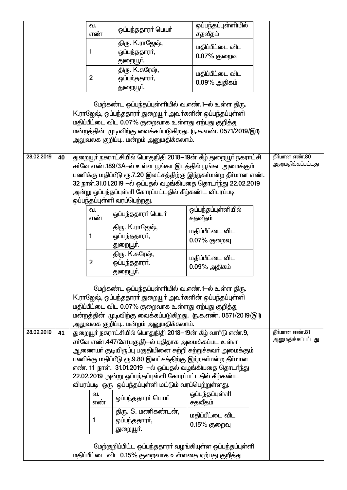|            |    | வ.             |                                                                  | ஒப்பந்தப்புள்ளியில் |                   |
|------------|----|----------------|------------------------------------------------------------------|---------------------|-------------------|
|            |    | எண்            | ஒப்பந்ததாரா் பெயா்                                               | சதவீதம்             |                   |
|            |    |                | திரு. K.ராஜேஷ்,                                                  |                     |                   |
|            |    | 1              | ஒப்பந்ததாரா்,                                                    | மதிப்பீட்டை விட     |                   |
|            |    |                | துறையூா்.                                                        | $0.07%$ குறைவு      |                   |
|            |    |                | திரு. K.சுரேஷ்,                                                  |                     |                   |
|            |    | $\overline{2}$ | ஒப்பந்ததாரா்,                                                    | மதிப்பீட்டை விட     |                   |
|            |    |                | துறையூா்.                                                        | $0.09\%$ அதிகம்     |                   |
|            |    |                |                                                                  |                     |                   |
|            |    |                | மேற்கண்ட ஒப்பந்தப்புள்ளியில் வ.எண்.1-ல் உள்ள திரு.               |                     |                   |
|            |    |                | K.ராஜேஷ், ஒப்பந்ததாரா் துறையூா் அவா்களின் ஒப்பந்தப்புள்ளி        |                     |                   |
|            |    |                | மதிப்பீட்டை விட 0.07% குறைவாக உள்ளது ஏற்பது குறித்து             |                     |                   |
|            |    |                | மன்றத்தின் முடிவிற்கு வைக்கப்படுகிறது. (ந.க.எண். 0571/2019/இ1)   |                     |                   |
|            |    |                | அலுவலக குறிப்பு மன்றம் அனுமதிக்கலாம்.                            |                     |                   |
|            |    |                |                                                                  |                     |                   |
| 28.02.2019 | 40 |                | துறையூா் நகராட்சியில் பொதுநிதி 2018—19ன் கீழ் துறையூா் நகராட்சி  |                     | தீர்மான எண்.80    |
|            |    |                | சா்வே எண்.189/3A–ல் உள்ள பூங்கா இடத்தில் பூங்கா அமைக்கும்        |                     | அனுமதிக்கப்பட்டது |
|            |    |                | பணிக்கு மதிப்பீடு ரூ.7.20 இலட்சத்திற்கு இந்நகா்மன்ற தீா்மான எண். |                     |                   |
|            |    |                | 32 நாள்.31.01.2019 —ல் ஒப்புதல் வழங்கியதை தொடர்ந்து 22.02.2019   |                     |                   |
|            |    |                | அன்று ஒப்பந்தப்புள்ளி கோரப்பட்டதில் கீழ்கண்ட விபரப்படி           |                     |                   |
|            |    |                | ஒப்பந்தப்புள்ளி வரப்பெற்றது.                                     |                     |                   |
|            |    | வ.<br>எண்      | ஒப்பந்ததாரா் பெயா்                                               | ஒப்பந்தப்புள்ளியில் |                   |
|            |    |                |                                                                  | சதவீதம்             |                   |
|            |    | 1              | திரு. K.ராஜேஷ்,                                                  | மதிப்பீட்டை விட     |                   |
|            |    |                | ஒப்பந்ததாரா்,                                                    | 0.07% குறைவு        |                   |
|            |    |                | துறையூா்.<br>திரு. K.சுரேஷ்,                                     |                     |                   |
|            |    | $\overline{2}$ | ஒப்பந்ததாரா்,                                                    | மதிப்பீட்டை விட     |                   |
|            |    |                | துறையூா்.                                                        | $0.09\%$ அதிகம்     |                   |
|            |    |                |                                                                  |                     |                   |
|            |    |                | மேற்கண்ட ஒப்பந்தப்புள்ளியில் வ.எண்.1-ல் உள்ள திரு.               |                     |                   |
|            |    |                | K.ராஜேஷ், ஒப்பந்ததாரா் துறையூா் அவா்களின் ஒப்பந்தப்புள்ளி        |                     |                   |
|            |    |                | மதிப்பீட்டை விட 0.07% குறைவாக உள்ளது ஏற்பது குறித்து             |                     |                   |
|            |    |                | மன்றத்தின் முடிவிற்கு வைக்கப்படுகிறது. (ந.க.எண். 0571/2019/இ1)   |                     |                   |
|            |    |                | அலுவலக குறிப்பு மன்றம் அனுமதிக்கலாம்.                            |                     |                   |
| 28.02.2019 | 41 |                | துறையூர் நகராட்சியில் பொதுநிதி 2018—19ன் கீழ் வார்டு எண்.9,      |                     | தீர்மான எண்.81    |
|            |    |                | சா்வே எண்.447/2எ(பகுதி)—ல் புதிதாக அமைக்கப்பட உள்ள               |                     | அனுமதிக்கப்பட்டது |
|            |    |                | ஆணையா் குடியிருப்பு பகுதியினை சுற்றி சுற்றுச்சுவா் அமைக்கும்     |                     |                   |
|            |    |                | பணிக்கு மதிப்பீடு ரூ.9.80 இலட்சத்திற்கு இந்நகா்மன்ற தீா்மான      |                     |                   |
|            |    |                | எண். 11 நாள். 31.01.2019  –ல் ஒப்புதல் வழங்கியதை தொடா்ந்து       |                     |                   |
|            |    |                | 22.02.2019 அன்று ஒப்பந்தப்புள்ளி கோரப்பட்டதில் கீழ்கண்ட          |                     |                   |
|            |    |                | விபரப்படி ஒரு ஒப்பந்தப்புள்ளி மட்டும் வரப்பெற்றுள்ளது.           |                     |                   |
|            |    | ഖ.             | ஒப்பந்ததாரா் பெயா்                                               | ஒப்பந்தப்புள்ளி     |                   |
|            |    | எண்            |                                                                  | சதவீதம்             |                   |
|            |    |                | திரு. S. மணிகண்டன்,                                              | மதிப்பீட்டை விட     |                   |
|            |    | 1              | ஒப்பந்ததாரா்,                                                    | 0.15% குறைவு        |                   |
|            |    |                | துறையூா்.                                                        |                     |                   |
|            |    |                |                                                                  |                     |                   |
|            |    |                | மேற்குறிப்பிட்ட ஒப்பந்ததாரா் வழங்கியுள்ள ஒப்பந்தப்புள்ளி         |                     |                   |
|            |    |                | மதிப்பீட்டை விட 0.15% குறைவாக உள்ளதை ஏற்பது குறித்து             |                     |                   |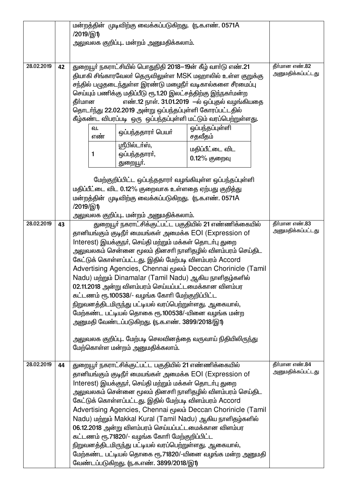|            |    | மன்றத்தின் முடிவிற்கு வைக்கப்படுகிறது. (ந.க.எண். 0571A<br>/2019/இ1)                                                                                                                                                                                                                                                                                                                                                                                                                                                                                                                                                                                                                                                                                                                                                                                |                                     |
|------------|----|----------------------------------------------------------------------------------------------------------------------------------------------------------------------------------------------------------------------------------------------------------------------------------------------------------------------------------------------------------------------------------------------------------------------------------------------------------------------------------------------------------------------------------------------------------------------------------------------------------------------------------------------------------------------------------------------------------------------------------------------------------------------------------------------------------------------------------------------------|-------------------------------------|
|            |    | அலுவலக குறிப்பு மன்றம் அனுமதிக்கலாம்.                                                                                                                                                                                                                                                                                                                                                                                                                                                                                                                                                                                                                                                                                                                                                                                                              |                                     |
| 28.02.2019 | 42 | துறையூா் நகராட்சியில் பொதுநிதி 2018—19ன் கீழ் வாா்டு எண்.21<br>தியாகி சிங்காரவேலா் தெருவிலுள்ள MSK மஹாலில் உள்ள குறுக்கு<br>சந்தில் பழுதடைந்துள்ள இரண்டு மழைநீர் வடிகால்களை சீரமைப்பு<br>செய்யும் பணிக்கு மதிப்பீடு ரூ.1.20 இலட்சத்திற்கு இந்நகா்மன்ற<br>தீர்மான<br>எண்.12 நாள். 31.01.2019  –ல் ஒப்புதல் வழங்கியதை<br>தொடர்ந்து 22.02.2019 அன்று ஒப்பந்தப்புள்ளி கோரப்பட்டதில்<br>கீழ்கண்ட விபரப்படி ஒரு ஒப்பந்தப்புள்ளி மட்டும் வரப்பெற்றுள்ளது.<br>ஒப்பந்தப்புள்ளி<br>ഖ.<br>ஒப்பந்ததாரா் பெயா்<br>சதவீதம்<br>எண்<br>ஸ்ரீபில்டா்ஸ்,<br>மதிப்பீட்டை விட<br>ஒப்பந்ததாரா்,<br>1<br>0.12% குறைவு<br>துறையூா்.<br>மேற்குறிப்பிட்ட ஒப்பந்ததாரா் வழங்கியுள்ள ஒப்பந்தப்புள்ளி<br>மதிப்பீட்டை விட 0.12% குறைவாக உள்ளதை ஏற்பது குறித்து<br>மன்றத்தின் முடிவிற்கு வைக்கப்படுகிறது. (ந.க.எண். 0571A<br>/2019/இ1)                                             | தீர்மான எண்.82<br>அனுமதிக்கப்பட்டது |
| 28.02.2019 | 43 | அலுவலக குறிப்பு மன்றம் அனுமதிக்கலாம்.<br>துறையூா் நகராட்சிக்குட்பட்ட பகுதியில் 21 எண்ணிக்கையில்<br>தானியங்கும் குடிநீர் மையங்கள் அமைக்க EOI (Expression of<br>Interest) இயக்குநா், செய்தி மற்றும் மக்கள் தொடா்பு துறை<br>அலுவலகம் சென்னை மூலம் தினசாி நாளிதழில் விளம்பரம் செய்திட<br>கேட்டுக் கொள்ளப்பட்டது. இதில் மேற்படி விளம்பரம் Accord<br>Advertising Agencies, Chennai மூலம் Deccan Chorinicle (Tamil<br>Nadu) மற்றும் Dinamalar (Tamil Nadu) ஆகிய நாளிதழ்களில்<br>02.11.2018 அன்று விளம்பரம் செய்யப்பட்டமைக்கான விளம்பர<br>கட்டணம் ரூ.100538/- வழங்க கோரி மேற்குறிப்பிட்ட<br>நிறுவனத்திடமிருந்து பட்டியல் வரப்பெற்றுள்ளது. ஆகையால்,<br>மேற்கண்ட பட்டியல் தொகை ரூ.100538/-யினை வழங்க மன்ற<br>அனுமதி வேண்டப்படுகிறது. (ந.க.எண். 3899/2018/இ1)<br>அலுவலக குறிப்பு மேற்படி செலவினத்தை வருவாய் நிதியிலிருந்து<br>மேற்கொள்ள மன்றம் அனுமதிக்கலாம். | தீர்மான எண்.83<br>அனுமதிக்கப்பட்டது |
| 28.02.2019 | 44 | துறையூா் நகராட்சிக்குட்பட்ட பகுதியில் 21 எண்ணிக்கையில்<br>தானியங்கும் குடிநீர் மையங்கள் அமைக்க EOI (Expression of<br>Interest) இயக்குநா், செய்தி மற்றும் மக்கள் தொடா்பு துறை<br>அலுவலகம் சென்னை மூலம் தினசாி நாளிதழில் விளம்பரம் செய்திட<br>கேட்டுக் கொள்ளப்பட்டது. இதில் மேற்படி விளம்பரம் Accord<br>Advertising Agencies, Chennai மூலம் Deccan Chorinicle (Tamil<br>Nadu) மற்றும் Makkal Kural (Tamil Nadu) ஆகிய நாளிதழ்களில்<br>06.12.2018 அன்று விளம்பரம் செய்யப்பட்டமைக்கான விளம்பர<br>கட்டணம் ரூ.71820/- வழங்க கோரி மேற்குறிப்பிட்ட<br>நிறுவனத்திடமிருந்து பட்டியல் வரப்பெற்றுள்ளது. ஆகையால்,<br>மேற்கண்ட பட்டியல் தொகை ரூ.71820/-யினை வழங்க மன்ற அனுமதி<br>வேண்டப்படுகிறது. (ந.க.எண். 3899/2018/இ1)                                                                                                                                         | தீர்மான எண்.84<br>அனுமதிக்கப்பட்டது |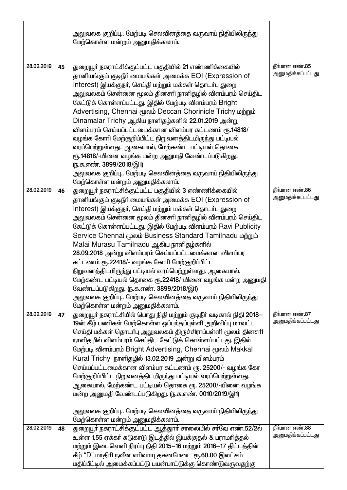|            |    | அலுவலக குறிப்பு மேற்படி செலவினத்தை வருவாய் நிதியிலிருந்து<br>மேற்கொள்ள மன்றம் அனுமதிக்கலாம்.                                                                                                                                                                                                                                                                                                                                                                                                                                                                                                                                                                                                                                                                                                  |                                     |
|------------|----|-----------------------------------------------------------------------------------------------------------------------------------------------------------------------------------------------------------------------------------------------------------------------------------------------------------------------------------------------------------------------------------------------------------------------------------------------------------------------------------------------------------------------------------------------------------------------------------------------------------------------------------------------------------------------------------------------------------------------------------------------------------------------------------------------|-------------------------------------|
| 28.02.2019 | 45 | துறையூா் நகராட்சிக்குட்பட்ட பகுதியில் 21 எண்ணிக்கையில்<br>தானியங்கும் குடிநீர் மையங்கள் அமைக்க EOI (Expression of<br>Interest) இயக்குநா், செய்தி மற்றும் மக்கள் தொடா்பு துறை<br>அலுவலகம் சென்னை மூலம் தினசாி நாளிதழில் விளம்பரம் செய்திட<br>கேட்டுக் கொள்ளப்பட்டது. இதில் மேற்படி விளம்பரம் Bright<br>Advertising, Chennai மூலம் Deccan Chorinicle Trichy மற்றும்<br>Dinamalar Trichy ஆகிய நாளிதழ்களில் 22.01.2019 அன்று<br>விளம்பரம் செய்யப்பட்டமைக்கான விளம்பர கட்டணம் ரூ.14818/-<br>வழங்க கோரி மேற்குறிப்பிட்ட நிறுவனத்திடமிருந்து பட்டியல்<br>வரப்பெற்றுள்ளது. ஆகையால், மேற்கண்ட பட்டியல் தொகை<br>ரூ.14818/-யினை வழங்க மன்ற அனுமதி வேண்டப்படுகிறது.<br>(ந.க.எண். 3899/2018/இ1)<br>அலுவலக குறிப்பு மேற்படி செலவினத்தை வருவாய் நிதியிலிருந்து<br>மேற்கொள்ள மன்றம் அனுமதிக்கலாம்.            | தீர்மான எண்.85<br>அனுமதிக்கப்பட்டது |
| 28.02.2019 | 46 | துறையூா் நகராட்சிக்குட்பட்ட பகுதியில் 3 எண்ணிக்கையில்<br>தானியங்கும் குடிநீர் மையங்கள் அமைக்க EOI (Expression of<br>Interest) இயக்குநா், செய்தி மற்றும் மக்கள் தொடா்பு துறை<br>அலுவலகம் சென்னை மூலம் தினசாி நாளிதழில் விளம்பரம் செய்திட<br>கேட்டுக் கொள்ளப்பட்டது. இதில் மேற்படி விளம்பரம் Ravi Publicity<br>Service Chennai மூலம் Business Standard Tamilnadu மற்றும்<br>Malai Murasu Tamilnadu ஆகிய நாளிதழ்களில்<br>28.09.2018 அன்று விளம்பரம் செய்யப்பட்டமைக்கான விளம்பர<br>கட்டணம் ரூ.22418/- வழங்க கோரி மேற்குறிப்பிட்ட<br>நிறுவனத்திடமிருந்து பட்டியல் வரப்பெற்றுள்ளது. ஆகையால்,<br>மேற்கண்ட பட்டியல் தொகை ரூ.22418/-யினை வழங்க மன்ற அனுமதி<br>வேண்டப்படுகிறது. (ந.க.எண். 3899/2018/இ1)<br>அலுவலக குறிப்பு மேற்படி செலவினத்தை வருவாய் நிதியிலிருந்து<br>மேற்கொள்ள மன்றம் அனுமதிக்கலாம். | தீர்மான எண்.86<br>அனுமதிக்கப்பட்டது |
| 28.02.2019 | 47 | துறையூா் நகராட்சியில் பொது நிதி மற்றும் குடிநீா் வடிகால் நிதி 2018—<br>19ன் கீழ் பணிகள் மேற்கொள்ள ஒப்பந்தப்புள்ளி அறிவிப்பு மாவட்ட<br>செய்தி மக்கள் தொடா்பு அலுவலகம் திருச்சிராப்பள்ளி மூலம் தினசாி<br>நாளிதழில் விளம்பரம் செய்திட கேட்டுக் கொள்ளப்பட்டது. இதில்<br>மேற்படி விளம்பரம் Bright Advertising, Chennai மூலம் Makkal<br>Kural Trichy நாளிதழில் 13.02.2019 அன்று விளம்பரம்<br>செய்யப்பட்டமைக்கான விளம்பர கட்டணம் ரூ. 25200/- வழங்க கோ<br>மேற்குறிப்பிட்ட நிறுவனத்திடமிருந்து பட்டியல் வரப்பெற்றுள்ளது.<br>ஆகையால், மேற்கண்ட பட்டியல் தொகை ரூ. 25200/-யினை வழங்க<br>மன்ற அனுமதி வேண்டப்படுகிறது. (ந.க.எண். 0010/2019/இ1)<br>அலுவலக குறிப்பு மேற்படி செலவினத்தை வருவாய் நிதியிலிருந்து<br>மேற்கொள்ள மன்றம் அனுமதிக்கலாம்.                                                              | தீர்மான எண்.87<br>அனுமதிக்கப்பட்டது |
| 28.02.2019 | 48 | துறையூர் நகராட்சிக்குட்பட்ட ஆத்துார் சாலையில் சர்வே எண்.52/2ல்<br>உள்ள 1.55 ஏக்கா் சுடுகாடு இடத்தில் இயக்குதல் & பராமாித்தல்<br>மற்றும் இடைவெளி நிரப்பு நிதி 2015–16 மற்றும் 2016–17 திட்டத்தின்<br>கீழ் "D" மாதிரி நவீன எரிவாயு தகனமேடை ரூ.60.00 இலட்சம்<br>மதிப்பீட்டில் அமைக்கப்பட்டு பயன்பாட்டுக்கு கொண்டுவருவதற்கு                                                                                                                                                                                                                                                                                                                                                                                                                                                                       | தீர்மான எண்.88<br>அனுமதிக்கப்பட்டது |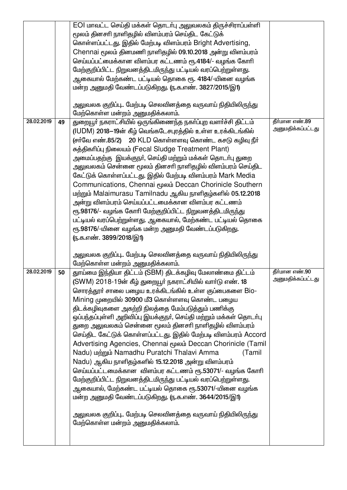|            |    | EOI மாவட்ட செய்தி மக்கள் தொடர்பு அலுவலகம் திருச்சிராப்பள்ளி<br>மூலம் தினசரி நாளிதழில் விளம்பரம் செய்திட கேட்டுக்<br>கொள்ளப்பட்டது. இதில் மேற்படி விளம்பரம் Bright Advertising,<br>Chennai மூலம் தினமணி நாளிதழில் 09.10.2018 அன்று விளம்பரம்<br>செய்யப்பட்மைக்கான விளம்பர கட்டணம் ரூ.4184/- வழங்க கோரி                                                                                                                                                                                                                                                                                                                                                                                                                                                                                                                                                                                                                                                                                                              |                                     |
|------------|----|--------------------------------------------------------------------------------------------------------------------------------------------------------------------------------------------------------------------------------------------------------------------------------------------------------------------------------------------------------------------------------------------------------------------------------------------------------------------------------------------------------------------------------------------------------------------------------------------------------------------------------------------------------------------------------------------------------------------------------------------------------------------------------------------------------------------------------------------------------------------------------------------------------------------------------------------------------------------------------------------------------------------|-------------------------------------|
|            |    | மேற்குறிப்பிட்ட நிறுவனத்திடமிருந்து பட்டியல் வரப்பெற்றுள்ளது.<br>ஆகையால் மேற்கண்ட பட்டியல் தொகை ரூ. 4184/-யினை வழங்க<br>மன்ற அனுமதி வேண்டப்படுகிறது. (ந.க.எண். 3827/2015/இ1)                                                                                                                                                                                                                                                                                                                                                                                                                                                                                                                                                                                                                                                                                                                                                                                                                                       |                                     |
|            |    | அலுவலக குறிப்பு மேற்படி செலவினத்தை வருவாய் நிதியிலிருந்து<br>மேற்கொள்ள மன்றம் அனுமதிக்கலாம்.                                                                                                                                                                                                                                                                                                                                                                                                                                                                                                                                                                                                                                                                                                                                                                                                                                                                                                                       |                                     |
| 28.02.2019 | 49 | துறையூா் நகராட்சியில் ஒருங்கிணைந்த நகா்ப்புற வளா்ச்சி திட்டம்<br>(IUDM) 2018–19ன் கீழ் வெங்கடேசபுரத்தில் உள்ள உரக்கிடங்கில்<br>(சா்வே எண்.85/2) 20 KLD கொள்ளளவு கொண்ட கசடு கழிவு நீா்<br>சுத்திகரிப்பு நிலையம் (Fecal Sludge Treatment Plant)<br>அமைப்பதற்கு  இயக்குநா், செய்தி மற்றும் மக்கள் தொடா்பு துறை<br>அலுவலகம் சென்னை மூலம் தினசாி நாளிதழில் விளம்பரம் செய்திட<br>கேட்டுக் கொள்ளப்பட்டது. இதில் மேற்படி விளம்பரம் Mark Media<br>Communications, Chennai மூலம் Deccan Chorinicle Southern<br>மற்றும் Malaimurasu Tamilnadu ஆகிய நாளிதழ்களில் 05.12.2018<br>அன்று விளம்பரம் செய்யப்பட்டமைக்கான விளம்பர கட்டணம்<br>ரூ.98176/- வழங்க கோரி மேற்குறிப்பிட்ட நிறுவனத்திடமிருந்து<br>பட்டியல் வரப்பெற்றுள்ளது. ஆகையால், மேற்கண்ட பட்டியல் தொகை<br>ரூ.98176/-யினை வழங்க மன்ற அனுமதி வேண்டப்படுகிறது.<br><u>(ந</u> .க.எண். 3899/2018/இ1)                                                                                                                                                                            | தீர்மான எண்.89<br>அனுமதிக்கப்பட்டது |
|            |    | அலுவலக குறிப்பு மேற்படி செலவினத்தை வருவாய் நிதியிலிருந்து<br>மேற்கொள்ள மன்றம் அனுமதிக்கலாம்.                                                                                                                                                                                                                                                                                                                                                                                                                                                                                                                                                                                                                                                                                                                                                                                                                                                                                                                       |                                     |
| 28.02.2019 | 50 | தூய்மை இந்தியா திட்டம் (SBM) திடக்கழிவு மேலாண்மை திட்டம்<br>(SWM) 2018-19ன் கீழ் துறையூர் நகராட்சியில் வார்டு எண். 18<br>சொரத்தூா் சாலை பழைய உரக்கிடங்கில் உள்ள குப்பைகளை Bio-<br>Mining முறையில் 30900 மீ3 கொள்ளளவு கொண்ட பழைய<br>திடக்கழிவுகளை அகற்றி நிலத்தை மேம்படுத்தும் பணிக்கு<br>ஒப்பந்தப்புள்ளி அறிவிப்பு இயக்குநா், செய்தி மற்றும் மக்கள் தொடா்பு<br>துறை அலுவலகம் சென்னை மூலம் தினசாி நாளிதழில் விளம்பரம்<br>செய்திட கேட்டுக் கொள்ளப்பட்டது. இதில் மேற்படி விளம்பரம் Accord<br>Advertising Agencies, Chennai மூலம் Deccan Chorinicle (Tamil<br>Nadu) மற்றும் Namadhu Puratchi Thalavi Amma<br>(Tamil<br>Nadu) ஆகிய நாளிதழ்களில் 15.12.2018 அன்று விளம்பரம்<br>செய்யப்பட்டமைக்கான விளம்பர கட்டணம் ரூ.53071/- வழங்க கோரி<br>மேற்குறிப்பிட்ட நிறுவனத்திடமிருந்து பட்டியல் வரப்பெற்றுள்ளது.<br>ஆகையால், மேற்கண்ட பட்டியல் தொகை ரூ.53071/-யினை வழங்க<br>மன்ற அனுமதி வேண்டப்படுகிறது. (ந.க.எண். 3644/2015/இ1)<br>அலுவலக குறிப்பு மேற்படி செலவினத்தை வருவாய் நிதியிலிருந்து<br>மேற்கொள்ள மன்றம் அனுமதிக்கலாம். | தீர்மான எண்.90<br>அனுமதிக்கப்பட்டது |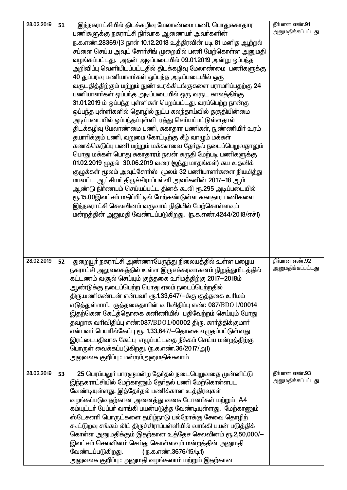| 28.02.2019 | 51 | இந்நகராட்சியில் திடக்கழிவு மேலாண்மை பணி, பொதுசுகாதார              | தீர்மான எண்.91    |
|------------|----|-------------------------------------------------------------------|-------------------|
|            |    | பணிகளுக்கு நகராட்சி நிா்வாக ஆணையா் அவா்களின்                      | அனுமதிக்கப்பட்டது |
|            |    | ந.க.எண்.28369/J3 நாள் 10.12.2018 உத்திரவின் படி 81 மனித ஆற்றல்    |                   |
|            |    | சப்ளை செய்ய அவுட் சோா்சிங் முறையில் பணி மேற்கொள்ள அனுமதி          |                   |
|            |    | வழங்கப்பட்டது. அதன் அடிப்படையில் 09.01.2019 அன்று ஒப்பந்த         |                   |
|            |    | அறிவிப்பு வெளியிடப்பட்டதில் திடக்கழிவு மேலாண்மை பணிகளுக்கு        |                   |
|            |    | 40 துப்பரவு பணியாளர்கள் ஒப்பந்த அடிப்படையில் ஒரு                  |                   |
|            |    | வருடதித்திற்கும் மற்றும் நுண் உரக்கிடங்குகளை பராமாிப்பதற்கு 24    |                   |
|            |    | பணியாளர்கள் ஒப்பந்த அடிப்படையில் ஒரு வருட காலத்திற்கு             |                   |
|            |    | 31.01.2019 ம் ஒப்பந்த புள்ளிகள் பெறப்பட்டது. வரப்பெற்ற நான்கு     |                   |
|            |    | ஒப்பந்த புள்ளிகளில் தொழில் நுட்ப கலந்தாய்வில் தகுதியின்மை         |                   |
|            |    | அடிப்படையில் ஒப்பந்தப்புள்ளி ரத்து செய்யப்பட்டுள்ளதால்            |                   |
|            |    | திடக்கழிவு மேலாண்மை பணி, சுகாதார பணிகள், நுண்ணியிா் உரம்          |                   |
|            |    | தயாரிக்கும் பணி, வறுமை கோட்டிற்கு கீழ் வாழும் மக்கள்              |                   |
|            |    | கணக்கெடுப்பு பணி மற்றும் மக்களவை தேர்தல் நடைப்பெறுவதாலும்         |                   |
|            |    | பொது மக்கள் பொது சுகாதாரம் நலன் கருதி மேற்படி பணிகளுக்கு          |                   |
|            |    | 01.02.2019 முதல் 30.06.2019 வரை (ஜந்து மாதங்கள்) சுய உதவிக்       |                   |
|            |    | குழுக்கள் மூலம் அவுட்சோர்ஸ் மூலம் 32 பணியாளர்களை நியமித்து        |                   |
|            |    | மாவட்ட ஆட்சியர் திருச்சிராப்பள்ளி அவர்களின் 2017—18 ஆம்           |                   |
|            |    | ஆண்டு நிா்ணயம் செய்யப்பட்ட தினக் கூலி ரூ.295 அடிப்படையில்         |                   |
|            |    | ரூ.15.00இலட்சம் மதிப்பீட்டில் மேற்கண்டுள்ள சுகாதார பணிகளை         |                   |
|            |    | இந்நகராட்சி செலவினம் வருவாய் நிதியில் மேற்கொள்ளவும்               |                   |
|            |    | மன்றத்தின் அனுமதி வேண்டப்படுகிறது. (ந.க.எண்.4244/2018/எச்1)       |                   |
|            |    |                                                                   |                   |
|            |    |                                                                   |                   |
|            |    |                                                                   |                   |
|            |    |                                                                   |                   |
| 28.02.2019 | 52 | துறையூா் நகராட்சி அண்ணாபேருந்து நிலையத்தில் உள்ள பழைய             | தீர்மான எண்.92    |
|            |    | நகராட்சி அலுவலகத்தில் உள்ள இருசக்கரவாகனம் நிறுத்துமிடத்தில்       | அனுமதிக்கப்பட்டது |
|            |    | கட்டணம் வசூல் செய்யும் குத்தகை உரிமத்திற்கு 2017—2018ம்           |                   |
|            |    | ஆண்டுக்கு நடைப்பெற்ற பொது ஏலம் நடைப்பெற்றதில்                     |                   |
|            |    | திரு.மணிகண்டன் என்பவா் ரூ.1,33,647/—க்கு குத்தகை உாிமம்           |                   |
|            |    | எடுத்துள்ளாா். குத்தகைதாாின் வாிவிதிப்பு எண்: 087/BDO1/00014      |                   |
|            |    | இதற்கென கேட்த்தொகை கனிணியில்  பதிவேற்றம் செய்யும் போது            |                   |
|            |    | தவறாக வாிவிதிப்பு எண்:087/BDO1/00002 திரு. காா்த்திக்குமாா்       |                   |
|            |    | என்பவா் பெயாில்கேட்பு ரூ. 1,33,647/—தொகை எழுதப்பட்டுள்ளது         |                   |
|            |    | இரட்டைபதிவாக கேட்பு  எழுப்பட்டதை நீக்கம் செய்ய மன்றத்திற்கு       |                   |
|            |    | பொருள் வைக்கப்படுகிறது. (ந.க.எண்.36/2017/அ1)                      |                   |
|            |    | அலுவலக குறிப்பு : மன்றம்அனுமதிக்கலாம்                             |                   |
|            |    |                                                                   |                   |
| 28.02.2019 | 53 | 25 பெரம்பலுா் பாரளுமன்ற தோ்தல் நடைபெறுவதை முன்னிட்டு              | தீர்மான எண்.93    |
|            |    | இந்நகராட்சியில் மேற்காணும் தோ்தல் பணி மேற்கொள்ளபட                 | அனுமதிக்கப்பட்டது |
|            |    | வேண்டியுள்ளது. இத்தேர்தல் பணிக்கான உத்திரவுகள்                    |                   |
|            |    | வழங்கப்படுவதற்கான அனைத்து வகை டோனா்கள் மற்றும்  A4                |                   |
|            |    | கம்யுட்டா் பேப்பா் வாங்கி பயன்படுத்த வேண்டியுள்ளது.  மேற்காணும்   |                   |
|            |    | ஸ்டேசனாி பொருட்களை தமிழ்நாடு பல்நோக்கு சேவை தொழிற்                |                   |
|            |    | கூட்டுறவு சங்கம் லிட் திருச்சிராப்பள்ளியில் வாங்கி பயன் படுத்திக் |                   |
|            |    | கொள்ள அனுமதிக்கும் இதற்கான உத்தேச செலவினம் ரூ.2,50,000/—          |                   |
|            |    | இலட்சம் செலவினம் செய்து கொள்ளவும் மன்றத்தின் அனுமதி               |                   |
|            |    | வேண்டப்படுகிறது.<br>( ந.க.எண்.3676/15/டி1)                        |                   |
|            |    | அலுவலக குறிப்பு : அனுமதி வழங்கலாம் மற்றும் இதற்கான                |                   |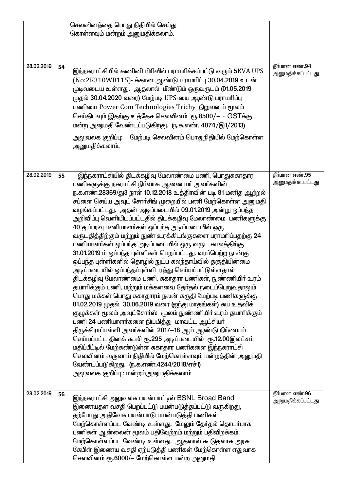|            |    | செலவினத்தை பொது நிதியில் செய்து                                 |                   |
|------------|----|-----------------------------------------------------------------|-------------------|
|            |    | கொள்ளவும் மன்றம் அனுமதிக்கலாம்.                                 |                   |
|            |    |                                                                 |                   |
|            |    |                                                                 |                   |
|            |    |                                                                 |                   |
|            |    |                                                                 |                   |
| 28.02.2019 | 54 | இந்நகராட்சியில் கணினி பிரிவில் பராமரிக்கப்பட்டு வரும் 5KVA UPS  | தீர்மான எண்.94    |
|            |    |                                                                 | அனுமதிக்கப்பட்டது |
|            |    | (No:2K310WB115)- க்கான ஆண்டு பராமரிப்பு 30.04.2019 உடன்         |                   |
|            |    | முடிவடைய உள்ளது. ஆதலால் மீண்டும் ஒருவருடம் (01.05.2019          |                   |
|            |    | முதல் 30.04.2020 வரை) மேற்படி UPS-யை ஆண்டு பராமரிப்பு           |                   |
|            |    | பணியை Power Com Technologies Trichy நிறுவனம் மூலம்              |                   |
|            |    |                                                                 |                   |
|            |    | செய்திடவும் இதற்கு உத்தேச செலவினம் ரூ.8500/- + GSTக்கு          |                   |
|            |    | மன்ற அனுமதி வேண்டப்படுகிறது. (ந.க.எண். 4074/இ1/2013)            |                   |
|            |    | மேற்படி செலவினம் பொதுநிதியில் மேற்கொள்ள<br>அலுவலக குறிப்பு:     |                   |
|            |    |                                                                 |                   |
|            |    | அனுமதிக்கலாம்.                                                  |                   |
|            |    |                                                                 |                   |
|            |    |                                                                 |                   |
|            |    |                                                                 |                   |
| 28.02.2019 | 55 | இந்நகராட்சியில் திடக்கழிவு மேலாண்மை பணி, பொதுசுகாதார            | தீர்மான எண்.95    |
|            |    | பணிகளுக்கு நகராட்சி நிா்வாக ஆணையா் அவா்களின்                    | அனுமதிக்கப்பட்டது |
|            |    | ந.க.எண்.28369/து3 நாள் 10.12.2018 உத்திரவின் படி 81 மனித ஆற்றல் |                   |
|            |    | சப்ளை செய்ய அவுட் சோா்சிங் முறையில் பணி மேற்கொள்ள அனுமதி        |                   |
|            |    | வழங்கப்பட்டது. அதன் அடிப்படையில் 09.01.2019 அன்று ஒப்பந்த       |                   |
|            |    | அறிவிப்பு வெளியிடப்பட்டதில் திடக்கழிவு மேலாண்மை பணிகளுக்கு      |                   |
|            |    |                                                                 |                   |
|            |    | 40 துப்பரவு பணியாளர்கள் ஒப்பந்த அடிப்படையில் ஒரு                |                   |
|            |    | வருடதித்திற்கும் மற்றும் நுண் உரக்கிடங்குகளை பராமாிப்பதற்கு 24  |                   |
|            |    | பணியாளர்கள் ஒப்பந்த அடிப்படையில் ஒரு வருட காலத்திற்கு           |                   |
|            |    | 31.01.2019 ம் ஒப்பந்த புள்ளிகள் பெறப்பட்டது. வரப்பெற்ற நான்கு   |                   |
|            |    | ஒப்பந்த புள்ளிகளில் தொழில் நுட்ப கலந்தாய்வில் தகுதியின்மை       |                   |
|            |    | அடிப்படையில் ஒப்பந்தப்புள்ளி ரத்து செய்யப்பட்டுள்ளதால்          |                   |
|            |    |                                                                 |                   |
|            |    | திடக்கழிவு மேலாண்மை பணி, சுகாதார பணிகள், நுண்ணியிா் உரம்        |                   |
|            |    | தயாாிக்கும் பணி, மற்றும் மக்களவை தேர்தல் நடைப்பெறுவதாலும்       |                   |
|            |    | பொது மக்கள் பொது சுகாதாரம் நலன் கருதி மேற்படி பணிகளுக்கு        |                   |
|            |    | 01.02.2019 முதல் 30.06.2019 வரை (ஜந்து மாதங்கள்) சுய உதவிக்     |                   |
|            |    | குழுக்கள் மூலம் அவுட்சோா்ஸ் மூலம் நுண்ணியிா் உரம் தயாாிக்கும்   |                   |
|            |    |                                                                 |                   |
|            |    | பணி 24 பணியாளர்களை நியமித்து மாவட்ட ஆட்சியர்                    |                   |
|            |    | திருச்சிராப்பள்ளி அவர்களின் 2017—18 ஆம் ஆண்டு நிர்ணயம்          |                   |
|            |    | செய்யப்பட்ட தினக் கூலி ரூ.295 அடிப்படையில் ரூ.12.00இலட்சம்      |                   |
|            |    | மதிப்பீட்டில் மேற்கண்டுள்ள சுகாதார பணிகளை இந்நகராட்சி           |                   |
|            |    | செலவினம் வருவாய் நிதியில் மேற்கொள்ளவும் மன்றத்தின் அனுமதி       |                   |
|            |    | வேண்டப்படுகிறது. (ந.க.எண்.4244/2018/எச்1)                       |                   |
|            |    |                                                                 |                   |
|            |    | அலுவலக குறிப்பு : மன்றம்அனுமதிக்கலாம்                           |                   |
|            |    |                                                                 |                   |
| 28.02.2019 | 56 |                                                                 | தீர்மான எண்.96    |
|            |    | இந்நகராட்சி அலுவலக பயன்பாட்டில் BSNL Broad Band                 | அனுமதிக்கப்பட்டது |
|            |    | இணையதள வசதி பெறப்பட்டு பயன்படுத்தப்பட்டு வருகிறது,              |                   |
|            |    | தற்போது அதிவேக பயன்பாடு பயன்படுத்தி பணிகள்                      |                   |
|            |    | மேற்கொள்ளப்பட வேண்டி உள்ளது. மேலும் தேர்தல் தொடர்பாக            |                   |
|            |    | பணிகள் ஆன்லைன் மூலம் பதிவேற்றம் மற்றும் பதிவிறக்கம்             |                   |
|            |    |                                                                 |                   |
|            |    | மேற்கொள்ளப்பட வேண்டி உள்ளது. ஆதலால் கூடுதலாக அரசு               |                   |
|            |    | கேபிள் இணைய வசதி ஏற்படுத்தி பணிகள் மேற்கொள்ள ஏதுவாக             |                   |
|            |    | செலவினம் ரூ.6000/– மேற்கொள்ள மன்ற அனுமதி                        |                   |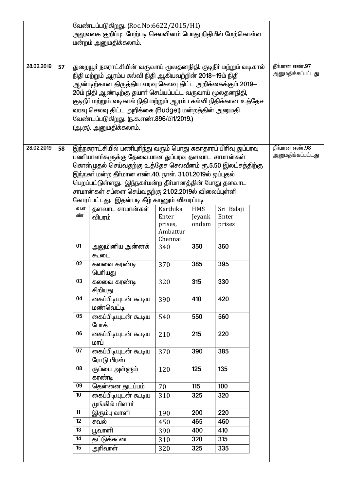|            |    | வேண்டப்படுகிறது. (Roc.No:6622/2015/H1) |                                                                                                                               |                     |                |            |  |                   |
|------------|----|----------------------------------------|-------------------------------------------------------------------------------------------------------------------------------|---------------------|----------------|------------|--|-------------------|
|            |    |                                        | அலுவலக குறிப்பு: மேற்படி செலவினம் பொது நிதியில் மேற்கொள்ள                                                                     |                     |                |            |  |                   |
|            |    | மன்றம் அனுமதிக்கலாம்.                  |                                                                                                                               |                     |                |            |  |                   |
|            |    |                                        |                                                                                                                               |                     |                |            |  |                   |
| 28.02.2019 | 57 |                                        |                                                                                                                               |                     | தீர்மான எண்.97 |            |  |                   |
|            |    |                                        | துறையூா் நகராட்சியின் வருவாய் மூலதனநிதி, குடிநீா் மற்றும் வடிகால்<br>நிதி மற்றும் ஆரம்ப கல்வி நிதி ஆகியவற்றின் 2018–19ம் நிதி |                     |                |            |  | அனுமதிக்கப்பட்டது |
|            |    |                                        | ஆண்டிற்கான திருத்திய வரவு செலவு திட்ட அறிக்கைக்கும் 2019—                                                                     |                     |                |            |  |                   |
|            |    |                                        | 20ம் நிதி ஆண்டிற்கு தயார் செய்யப்பட்ட வருவாய் மூலதனநிதி,                                                                      |                     |                |            |  |                   |
|            |    |                                        | குடிநீா் மற்றும் வடிகால் நிதி மற்றும் ஆரம்ப கல்வி நிதிக்கான உத்தேச                                                            |                     |                |            |  |                   |
|            |    |                                        | வரவு செலவு திட்ட அறிக்கை (Budget) மன்றத்தின் அனுமதி                                                                           |                     |                |            |  |                   |
|            |    |                                        | வேண்டப்படுகிறது. (ந.க.எண்.896/பி1/2019.)                                                                                      |                     |                |            |  |                   |
|            |    |                                        | (அ.கு). அனுமதிக்கலாம்.                                                                                                        |                     |                |            |  |                   |
|            |    |                                        |                                                                                                                               |                     |                |            |  |                   |
| 28.02.2019 | 58 |                                        | இந்நகராட்சியில் பணிபுரிந்து வரும் பொது சுகாதாரப் பிரிவு துப்பரவு                                                              |                     |                |            |  | தீர்மான எண்.98    |
|            |    |                                        | பணியாளர்களுக்கு தேவையான துப்பரவு தளவாட சாமான்கள்                                                                              |                     |                |            |  | அனுமதிக்கப்பட்டது |
|            |    |                                        | கொள்முதல் செய்வதற்கு உத்தேச செலவீனம் ரூ.5.50 இலட்சத்திற்கு                                                                    |                     |                |            |  |                   |
|            |    |                                        | இந்நகர் மன்ற தீர்மான எண்.40. நாள். 31.01.2019ல் ஒப்புதல்                                                                      |                     |                |            |  |                   |
|            |    |                                        | பெறப்பட்டுள்ளது. இந்நகா்மன்ற தீா்மானத்தின் போது தளவாட                                                                         |                     |                |            |  |                   |
|            |    |                                        | சாமான்கள் சப்ளை செய்வதற்கு 21.02.2019ல் விலைப்புள்ளி                                                                          |                     |                |            |  |                   |
|            |    |                                        | கோரப்பட்டது. இதன்படி கீழ் காணும் விவரப்படி                                                                                    |                     |                |            |  |                   |
|            |    | வ.எ                                    | தளவாட சாமான்கள்                                                                                                               | Karthika            | <b>HMS</b>     | Sri Balaji |  |                   |
|            |    | ண்                                     | விபரம்                                                                                                                        | Enter               | Jeyank         | Enter      |  |                   |
|            |    |                                        |                                                                                                                               | prises,<br>Ambattur | ondam          | prises     |  |                   |
|            |    |                                        |                                                                                                                               | Chennai             |                |            |  |                   |
|            |    | 01                                     | அலுமினிய அன்னக்                                                                                                               | 340                 | 350            | 360        |  |                   |
|            |    |                                        | ௬௷ட                                                                                                                           |                     |                |            |  |                   |
|            |    | 02                                     | கலவை கரண்டி                                                                                                                   | 370                 | 385            | 395        |  |                   |
|            |    |                                        | பெரியது                                                                                                                       |                     |                |            |  |                   |
|            |    | 03                                     | கலவை கரண்டி                                                                                                                   | 320                 | 315            | 330        |  |                   |
|            |    | 04                                     | சிறியது<br>கைப்பிடியுடன் கூடிய                                                                                                |                     | 410            | 420        |  |                   |
|            |    |                                        | மண்வெட்டி                                                                                                                     | 390                 |                |            |  |                   |
|            |    | 05                                     | <u>கைப்பிடியுடன் கூடிய</u>                                                                                                    | 540                 | 550            | 560        |  |                   |
|            |    |                                        | போக்                                                                                                                          |                     |                |            |  |                   |
|            |    | 06                                     | <u>கைப்பிடியுடன் கூடிய</u>                                                                                                    | 210                 | 215            | 220        |  |                   |
|            |    |                                        | மாப்                                                                                                                          |                     |                |            |  |                   |
|            |    | 07                                     | கைப்பிடியுடன் கூடிய                                                                                                           | 370                 | 390            | 385        |  |                   |
|            |    |                                        | ரோடு பிரஸ்                                                                                                                    |                     |                |            |  |                   |
|            |    | 08                                     | குப்பை அள்ளும்                                                                                                                | 120                 | 125            | 135        |  |                   |
|            |    |                                        | கரண்டி                                                                                                                        |                     |                |            |  |                   |
|            |    | 09                                     | தென்னை துடப்பம்                                                                                                               | 70                  | 115            | 100        |  |                   |
|            |    | 10                                     | கைப்பிடியுடன் கூடிய                                                                                                           | 310                 | 325            | 320        |  |                   |
|            |    |                                        | முங்கில் மிளாா்                                                                                                               |                     |                |            |  |                   |
|            |    | 11                                     | இரும்பு வாளி                                                                                                                  | 190                 | 200            | 220        |  |                   |
|            |    | $\overline{12}$<br>13                  | சவல்                                                                                                                          | 450                 | 465            | 460        |  |                   |
|            |    | 14                                     | பூவாளி                                                                                                                        | 390                 | 400            | 410<br>315 |  |                   |
|            |    | 15                                     | தட்டுக்கூடை                                                                                                                   | 310                 | 320            | 335        |  |                   |
|            |    |                                        | அரிவாள்                                                                                                                       | 320                 | 325            |            |  |                   |
|            |    |                                        |                                                                                                                               |                     |                |            |  |                   |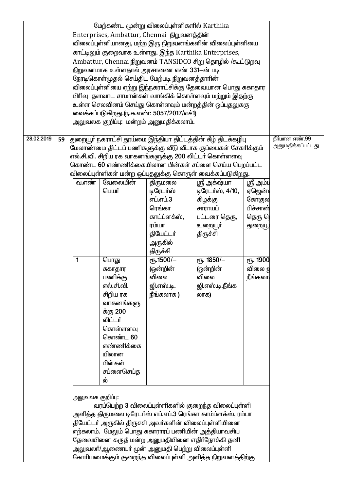|            |    |                                                            |            | மேற்கண்ட மூன்று விலைப்புள்ளிகளில் Karthika          |                                                              |                           |                   |
|------------|----|------------------------------------------------------------|------------|-----------------------------------------------------|--------------------------------------------------------------|---------------------------|-------------------|
|            |    | Enterprises, Ambattur, Chennai நிறுவனத்தின்                |            |                                                     |                                                              |                           |                   |
|            |    | விலைப்புள்ளியானது, மற்ற இரு நிறுவனங்களின் விலைப்புள்ளியை   |            |                                                     |                                                              |                           |                   |
|            |    | காட்டிலும் குறைவாக உள்ளது. இந்த Karthika Enterprises,      |            |                                                     |                                                              |                           |                   |
|            |    | Ambattur, Chennai நிறுவனம் TANSIDCO சிறு தொழில் /கூட்டுறவு |            |                                                     |                                                              |                           |                   |
|            |    |                                                            |            | நிறுவனமாக உள்ளதால் அரசாணை எண் 331-ன் படி            |                                                              |                           |                   |
|            |    |                                                            |            | நேரடிகொள்முதல் செய்திட மேற்படி நிறுவனத்தாாின்       |                                                              |                           |                   |
|            |    |                                                            |            |                                                     | விலைப்புள்ளியை ஏற்று இந்நகராட்சிக்கு தேவையான பொது சுகாதார    |                           |                   |
|            |    |                                                            |            |                                                     | பிரிவு  தளவாட சாமான்கள் வாங்கிக் கொள்ளவும் மற்றும் இதற்கு    |                           |                   |
|            |    |                                                            |            |                                                     | உள்ள செலவினம் செய்து கொள்ளவும் மன்றத்தின் ஒப்புதலுககு        |                           |                   |
|            |    |                                                            |            | வைக்கப்படுகிறது.ரு.க.எண்: 5057/2017/எச்1)           |                                                              |                           |                   |
|            |    |                                                            |            | அலுவலக குறிப்பு: மன்றம் அனுமதிக்கலாம்.              |                                                              |                           |                   |
|            |    |                                                            |            |                                                     |                                                              |                           |                   |
| 28.02.2019 | 59 |                                                            |            |                                                     | துறையூா் நகராட்சி தூய்மை இந்தியா திட்டத்தின் கீழ் திடக்கழிபு |                           | தீர்மான எண்.99    |
|            |    |                                                            |            |                                                     | மேலாண்மை திட்டப் பணிகளுக்கு வீடு வீடாக குப்பைகள் சேகரிக்கும் |                           | அனுமதிக்கப்பட்டது |
|            |    |                                                            |            |                                                     | எல்.சி.வி. சிறிய ரக வாகனங்களுக்கு 200 லிட்டர் கொள்ளளவு       |                           |                   |
|            |    |                                                            |            |                                                     | கொண்ட 60 எண்ணிக்கையிலான பின்கள் சப்ளை செய்ய பெறப்பட்ட        |                           |                   |
|            |    |                                                            |            |                                                     | விலைப்புள்ளிகள் மன்ற ஒப்புதலுக்கு கொருள் வைக்கப்படுகிறது.    |                           |                   |
|            |    | வ.எண்                                                      | வேலையின்   | திருமலை                                             | ஸ்ரீ அக்ஷ்யா                                                 |                           |                   |
|            |    |                                                            | பெயர்      | டிரேடா்ஸ்                                           | டிரேடர்ஸ், 4/10,                                             | ஸ்ரீ அம்ப                 |                   |
|            |    |                                                            |            | எப்.எப்.3                                           |                                                              | ஏஜென் $\epsilon$<br>கோகுல |                   |
|            |    |                                                            |            | ரெங்கா                                              | கிழக்கு                                                      | பிச்சாண்                  |                   |
|            |    |                                                            |            | காட்ப்ளக்ஸ்,                                        | சாராயப்                                                      |                           |                   |
|            |    |                                                            |            |                                                     | பட்டரை தெரு,                                                 | தெரு ரெ                   |                   |
|            |    |                                                            |            | ரம்யா                                               | உறையூா்                                                      | துறையூ                    |                   |
|            |    |                                                            |            | தியேட்டர்                                           | திருச்சி                                                     |                           |                   |
|            |    |                                                            |            | அருகில்                                             |                                                              |                           |                   |
|            |    |                                                            |            | திருச்சி                                            |                                                              |                           |                   |
|            |    | 1                                                          | பொது       | еҧ.1500/-                                           | ет. 1850/-                                                   | ரு. 1900                  |                   |
|            |    |                                                            | சுகாதார    | (ஒன்றின்                                            | (ஒன்றின்                                                     | விலை ഉ                    |                   |
|            |    |                                                            | பணிக்கு    | விலை                                                | விலை                                                         | நீங்கலா                   |                   |
|            |    |                                                            | எல்.சி.வி. | ஜி.எஸ்.டி.                                          | ஜி.எஸ்.டி.நீங்க                                              |                           |                   |
|            |    |                                                            | சிறிய ரக   | நீங்கலாக)                                           | லாக)                                                         |                           |                   |
|            |    |                                                            | வாகனங்களு  |                                                     |                                                              |                           |                   |
|            |    |                                                            | க்கு 200   |                                                     |                                                              |                           |                   |
|            |    |                                                            | லிட்டர்    |                                                     |                                                              |                           |                   |
|            |    |                                                            | கொள்ளளவு   |                                                     |                                                              |                           |                   |
|            |    |                                                            | கொண்ட 60   |                                                     |                                                              |                           |                   |
|            |    |                                                            | எண்ணிக்கை  |                                                     |                                                              |                           |                   |
|            |    |                                                            | யிலான      |                                                     |                                                              |                           |                   |
|            |    |                                                            | பின்கள்    |                                                     |                                                              |                           |                   |
|            |    |                                                            | சப்ளைசெய்த |                                                     |                                                              |                           |                   |
|            |    |                                                            | ல்         |                                                     |                                                              |                           |                   |
|            |    |                                                            |            |                                                     |                                                              |                           |                   |
|            |    | அலுவலக குறிப்பு:                                           |            |                                                     |                                                              |                           |                   |
|            |    |                                                            |            |                                                     | வரப்பெற்ற 3 விலைப்புள்ளிகளில் குறைந்த விலைப்புள்ளி           |                           |                   |
|            |    |                                                            |            |                                                     | அளித்த திருமலை டிரேடா்ஸ் எப்.எப்.3 ரெங்கா காம்ப்ளக்ஸ், ரம்பா |                           |                   |
|            |    |                                                            |            |                                                     | தியேட்டர் அருகில் திருசசி அவர்களின் விலைப்புள்ளியினை         |                           |                   |
|            |    |                                                            |            | எற்கலாம். மேலும் பொது சுகாராரப் பணியின் அத்தியாவசிய |                                                              |                           |                   |
|            |    |                                                            |            |                                                     | தேவையினை கருதீ மன்ற அனுமதியினை எதிா்நோக்கி தனி               |                           |                   |
|            |    |                                                            |            | அலுவலா்/ஆணையா் முன் அனுமதி பெற்று விலைப்புள்ளி      |                                                              |                           |                   |
|            |    |                                                            |            |                                                     | கோாியமைக்கும் குறைந்த விலைப்புள்ளி அளித்த நிறுவனத்திற்கு     |                           |                   |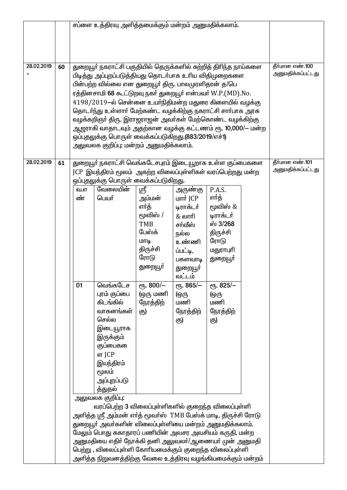|                |    | சப்ளை உத்திரவு அளித்தமைக்கும் மன்றம் அனுமதிக்கலாம்.                                                                         |                                                                   |            |               |           |  |                   |
|----------------|----|-----------------------------------------------------------------------------------------------------------------------------|-------------------------------------------------------------------|------------|---------------|-----------|--|-------------------|
|                |    |                                                                                                                             |                                                                   |            |               |           |  |                   |
|                |    |                                                                                                                             |                                                                   |            |               |           |  |                   |
|                |    |                                                                                                                             |                                                                   |            |               |           |  |                   |
|                |    |                                                                                                                             |                                                                   |            |               |           |  |                   |
| 28.02.2019     | 60 | துறையூா் நகராட்சி பகுதியில் தெருக்களில் சுற்றித் திாிந்த நாய்களை                                                            | தீர்மான எண்.100                                                   |            |               |           |  |                   |
| $\overline{+}$ |    | பிடித்து அப்புறப்படுத்தியது தொடா்பாக உாிய விதிமுறைகளை                                                                       | அனுமதிக்கப்பட்டது                                                 |            |               |           |  |                   |
|                |    | பின்பற்ற வில்லை என துறையூா் திரு. பாலமுரளிதரன் த/பெ                                                                         |                                                                   |            |               |           |  |                   |
|                |    |                                                                                                                             | ரத்தினசாமி <b>68</b> கூட்டுறவு நகா் துறையூா் என்பவா் W.P.(MD).No. |            |               |           |  |                   |
|                |    | 4198/2019-ல் சென்னை உயர்நிதிமன்ற மதுரை கிளையில் வழக்கு                                                                      |                                                                   |            |               |           |  |                   |
|                |    | தொடர்ந்து உள்ளார் மேற்கண்ட வழக்கிற்கு நகராட்சி சார்பாக அரசு                                                                 |                                                                   |            |               |           |  |                   |
|                |    |                                                                                                                             | வழக்கறிஞா் திரு. இராஜராஜன் அவா்கள் மேற்கொண்ட வழக்கிற்கு           |            |               |           |  |                   |
|                |    | ஆஜராகி வாதாடவும் அதற்கான வழக்கு கட்டணம் ரூ. 10,000/— மன்ற                                                                   |                                                                   |            |               |           |  |                   |
|                |    | ஒப்புதலுக்கு பொருள் வைக்கப்படுகிறது.(883/2019/எச்1)                                                                         |                                                                   |            |               |           |  |                   |
|                |    | அலுவலக குறிப்பு: மன்றம் அனுமதிக்கலாம்.                                                                                      |                                                                   |            |               |           |  |                   |
|                |    |                                                                                                                             |                                                                   |            |               |           |  |                   |
| 28.02.2019     | 61 |                                                                                                                             | துறையூா் நகராட்சி வெங்கடேசபுரம் இடையூறாக உள்ள குப்பைகளை           |            |               |           |  | தீர்மான எண்.101   |
|                |    |                                                                                                                             | JCP இயந்திரம் மூலம் அகற்ற விலைப்புள்ளிகள் வரப்பெற்றது மன்ற        |            |               |           |  | அனுமதிக்கப்பட்டது |
|                |    |                                                                                                                             | ஒப்புதலுக்கு பொருள் வைக்கப்படுகிறது.                              |            |               |           |  |                   |
|                |    | வ.எ                                                                                                                         | வேலையின்                                                          | ஸ்ரீ       | அருண்கு       | P.A.S.    |  |                   |
|                |    | ண்                                                                                                                          | பெயர்                                                             | அம்மன்     | மார் JCP      | எர்த்     |  |                   |
|                |    |                                                                                                                             |                                                                   | எர்த்      | டிராக்டர்     | மூவிஸ் &  |  |                   |
|                |    |                                                                                                                             |                                                                   | மூவிஸ் /   | $&\omega$ mm  | டிராக்டர் |  |                   |
|                |    |                                                                                                                             |                                                                   | <b>TMB</b> | சா்வீஸ்       | ஸ் 3/268  |  |                   |
|                |    |                                                                                                                             |                                                                   | பேஸ்க்     | நல்ல          | திருச்சி  |  |                   |
|                |    |                                                                                                                             |                                                                   | மாடி       | உண்ணி         | ரோடு      |  |                   |
|                |    |                                                                                                                             |                                                                   | திருச்சி   | ப்பட்டி,      | மதுராபுரி |  |                   |
|                |    |                                                                                                                             |                                                                   | ரோடு       | பகளவாடி       | துறையூா்  |  |                   |
|                |    |                                                                                                                             |                                                                   | துறையூா்   | துறையூா்      |           |  |                   |
|                |    |                                                                                                                             |                                                                   |            | வட்டம்        |           |  |                   |
|                |    | 01                                                                                                                          | வெங்கடேச                                                          | ет. 800/-  | $e$ гу. 865/- | ரூ. 825/- |  |                   |
|                |    |                                                                                                                             | புரம் குப்பை                                                      | (ஒரு மணி   | (ஒரு          | (ஒரு      |  |                   |
|                |    |                                                                                                                             | கிடங்கில்                                                         | நேரத்திற்  | மணி           | மணி       |  |                   |
|                |    |                                                                                                                             | வாகனங்கள்                                                         | கு)        | நேரத்திற்     | நேரத்திற் |  |                   |
|                |    |                                                                                                                             | செல்ல                                                             |            | கு)           | கு)       |  |                   |
|                |    |                                                                                                                             | இடையூராக                                                          |            |               |           |  |                   |
|                |    |                                                                                                                             | இருக்கும்                                                         |            |               |           |  |                   |
|                |    |                                                                                                                             | குப்பைகளை                                                         |            |               |           |  |                   |
|                |    |                                                                                                                             | ள JCP                                                             |            |               |           |  |                   |
|                |    |                                                                                                                             | இயந்திரம்                                                         |            |               |           |  |                   |
|                |    |                                                                                                                             | மூலம்                                                             |            |               |           |  |                   |
|                |    |                                                                                                                             | அப்புறப்படு                                                       |            |               |           |  |                   |
|                |    |                                                                                                                             | த்துதல்                                                           |            |               |           |  |                   |
|                |    |                                                                                                                             | அலுவலக குறிப்பு:                                                  |            |               |           |  |                   |
|                |    |                                                                                                                             | வரப்பெற்ற 3 விலைப்புள்ளிகளில் குறைந்த விலைப்புள்ளி                |            |               |           |  |                   |
|                |    |                                                                                                                             |                                                                   |            |               |           |  |                   |
|                |    | அளித்த ஸ்ரீ அம்மன் எா்த் மூவா்ஸ்  TMB பேஸ்க் மாடி, திருச்சி ரோடு<br>துறையூா் அவா்களின் விலைப்புள்ளியை மன்றம் அனுமதிக்கலாம். |                                                                   |            |               |           |  |                   |
|                |    | மேலும் பொது சுகாதாரப் பணியின் அவசர அவசியம் கருதி, மன்ற                                                                      |                                                                   |            |               |           |  |                   |
|                |    | அனுமதியை எதிா் நோக்கி தனி அலுவலா்/ஆணையா் முன் அனுமதி                                                                        |                                                                   |            |               |           |  |                   |
|                |    | பெற்று , விலைப்புள்ளி கோரியமைக்கும் குறைந்த விலைப்புள்ளி                                                                    |                                                                   |            |               |           |  |                   |
|                |    | அளித்த நிறுவனத்திற்கு வேலை உத்திரவு வழங்கியமைக்கும் மன்றம்                                                                  |                                                                   |            |               |           |  |                   |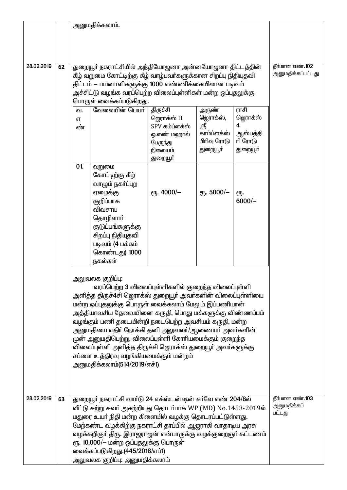|            |    | அனுமதிக்கலாம்.                                                                                                                                                                                                                                                                                                                                                                                                                                                          |                                                                                                     |                                                                      |                                                          |                                          |
|------------|----|-------------------------------------------------------------------------------------------------------------------------------------------------------------------------------------------------------------------------------------------------------------------------------------------------------------------------------------------------------------------------------------------------------------------------------------------------------------------------|-----------------------------------------------------------------------------------------------------|----------------------------------------------------------------------|----------------------------------------------------------|------------------------------------------|
|            |    |                                                                                                                                                                                                                                                                                                                                                                                                                                                                         |                                                                                                     |                                                                      |                                                          |                                          |
| 28.02.2019 | 62 | துறையூா் நகராட்சியில் அந்தியோஜனா அன்னயோஜனா திட்டத்தின்<br>கீழ் வறுமை கோட்டிற்கு கீழ் வாழ்பவர்களுக்கான சிறப்பு நிதியுதவி<br>திட்டம் — பயனாளிகளுக்கு 1000 எண்ணிக்கையிலான படிவம்<br>அச்சிட்டு வழங்க வரப்பெற்ற விலைப்புள்ளிகள் மன்ற ஒப்புதலுக்கு<br>பொருள் வைக்கப்படுகிறது.                                                                                                                                                                                                 | தீர்மான எண்.102<br>அனுமதிக்கப்பட்டது                                                                |                                                                      |                                                          |                                          |
|            |    | வேலையின் பெயர்<br>ഖ.<br>எ<br>ண்                                                                                                                                                                                                                                                                                                                                                                                                                                         | திருச்சி<br>ஜெராக்ஸ் II<br>SPV கம்ப்ளக்ஸ்<br>ஒ.எண் மஹால்<br>பேருந்து<br>நிலையம்<br>துறையூ <b>ர்</b> | அருண்<br>ஜெராக்ஸ்,<br>ஸ்ரீ<br>காம்ப்ளக்ஸ்<br>பிரிவு ரோடு<br>துறையூா் | ராசி<br>ஜெராக்ஸ்<br>4<br>ஆஸ்பத்தி<br>ரி ரோடு<br>துறையூா் |                                          |
|            |    | 01.<br>வறுமை<br>கோட்டிற்கு கீழ்<br>வாழும் நகா்ப்புற<br>ஏழைக்கு<br>குறிப்பாக<br>விவசாய<br>தொழிளாா்<br>குடுப்பங்களுக்கு<br>சிறப்பு நிதியுதவி<br>படிவம் (4 பக்கம்<br>கொண்டது) 1000<br>நகல்கள்                                                                                                                                                                                                                                                                              | $\epsilon$ гђ. 4000/-                                                                               | $\epsilon$ гђ. 5000/-                                                | €Ҧ.<br>$6000/-$                                          |                                          |
|            |    | வரப்பெற்ற 3 விலைப்புள்ளிகளில் குறைந்த விலைப்புள்ளி<br>அளித்த திருச்4சி ஜெராக்ஸ் துறையூர் அவர்களின் விலைப்புள்ளியை<br>மன்ற ஒப்புதலுக்கு பொருள் வைக்கலாம் மேலும் இப்பணியான்<br>அத்தியாவசிய தேவையினை கருதி, பொது மக்களுக்கு விண்ணப்பம்<br>வழங்கும் பணி தடையின்றி நடைபெற்ற அவசியம் கருதி, மன்ற<br>அனுமதியை எதிா் நோக்கி தனி அலுவலா்/ஆணையா் அவா்களின்<br>முன் அனுமதிபெற்று, விலைப்புள்ளி கோரியமைக்கும் குறைந்த<br>விலைப்புள்ளி அளித்த திருச்சி ஜெராக்ஸ் துறையூர் அவர்களுக்கு |                                                                                                     |                                                                      |                                                          |                                          |
| 28.02.2019 | 63 | துறையூர் நகராட்சி வார்டு 24 எக்ஸ்டன்ஷன் சர்வே எண் 204/8ல்<br>வீட்டு சுற்று சுவர் அகற்றியது தொடர்பாக WP (MD) No.1453-2019ல்<br>மதுரை உயா் நிதி மன்ற கிளையில் வழக்கு தொடரப்பட்டுள்ளது.<br>மேற்கண்ட வழக்கிற்கு நகராட்சி தரப்பில் ஆஜராகி வாதாடிய அரசு<br>வழக்கறிஞா் திரு. இராஜராஜன் என்பாருக்கு வழக்குறைஞா் கட்டணம்<br>ரூ. 10,000/- மன்ற ஒப்புதலுக்கு பொருள்<br>வைக்கப்படுகிறது.(445/2018/எப்1)<br>அலுவலக குறிப்பு: அனுமதிக்கலாம்                                           |                                                                                                     |                                                                      |                                                          | தீர்மான எண்.103<br>அனுமதிக்கப்<br>பட்டது |